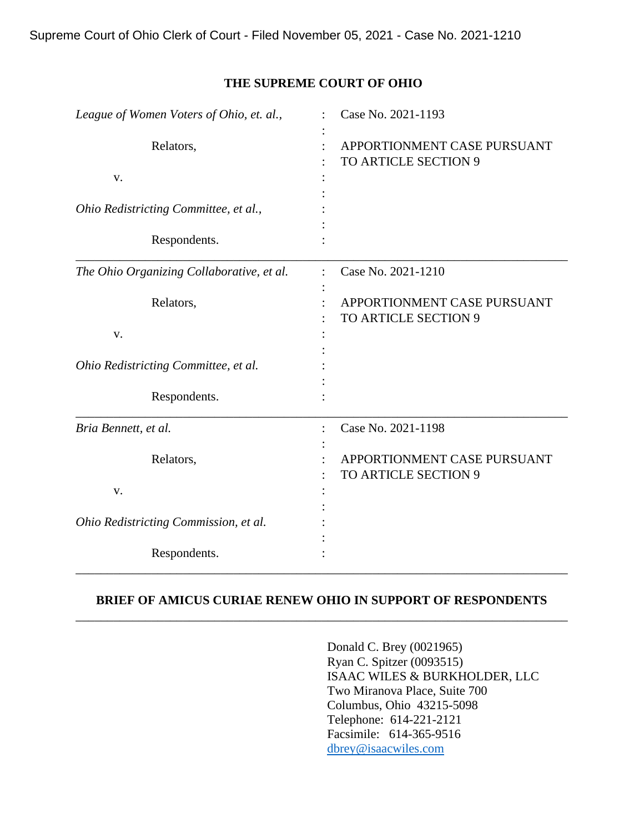Supreme Court of Ohio Clerk of Court - Filed November 05, 2021 - Case No. 2021-1210

#### **THE SUPREME COURT OF OHIO**

| League of Women Voters of Ohio, et. al.,  | Case No. 2021-1193                                  |  |  |
|-------------------------------------------|-----------------------------------------------------|--|--|
| Relators,<br>V.                           | APPORTIONMENT CASE PURSUANT<br>TO ARTICLE SECTION 9 |  |  |
| Ohio Redistricting Committee, et al.,     |                                                     |  |  |
| Respondents.                              |                                                     |  |  |
| The Ohio Organizing Collaborative, et al. | Case No. 2021-1210                                  |  |  |
| Relators,                                 | APPORTIONMENT CASE PURSUANT<br>TO ARTICLE SECTION 9 |  |  |
| v.                                        |                                                     |  |  |
| Ohio Redistricting Committee, et al.      |                                                     |  |  |
| Respondents.                              |                                                     |  |  |
| Bria Bennett, et al.                      | Case No. 2021-1198                                  |  |  |
| Relators,                                 | APPORTIONMENT CASE PURSUANT<br>TO ARTICLE SECTION 9 |  |  |
| V.                                        |                                                     |  |  |
| Ohio Redistricting Commission, et al.     |                                                     |  |  |
| Respondents.                              |                                                     |  |  |

### **BRIEF OF AMICUS CURIAE RENEW OHIO IN SUPPORT OF RESPONDENTS** \_\_\_\_\_\_\_\_\_\_\_\_\_\_\_\_\_\_\_\_\_\_\_\_\_\_\_\_\_\_\_\_\_\_\_\_\_\_\_\_\_\_\_\_\_\_\_\_\_\_\_\_\_\_\_\_\_\_\_\_\_\_\_\_\_\_\_\_\_\_\_\_\_\_\_\_\_\_

Donald C. Brey (0021965) Ryan C. Spitzer (0093515) ISAAC WILES & BURKHOLDER, LLC Two Miranova Place, Suite 700 Columbus, Ohio 43215-5098 Telephone: 614-221-2121 Facsimile: 614-365-9516 dbrey@isaacwiles.com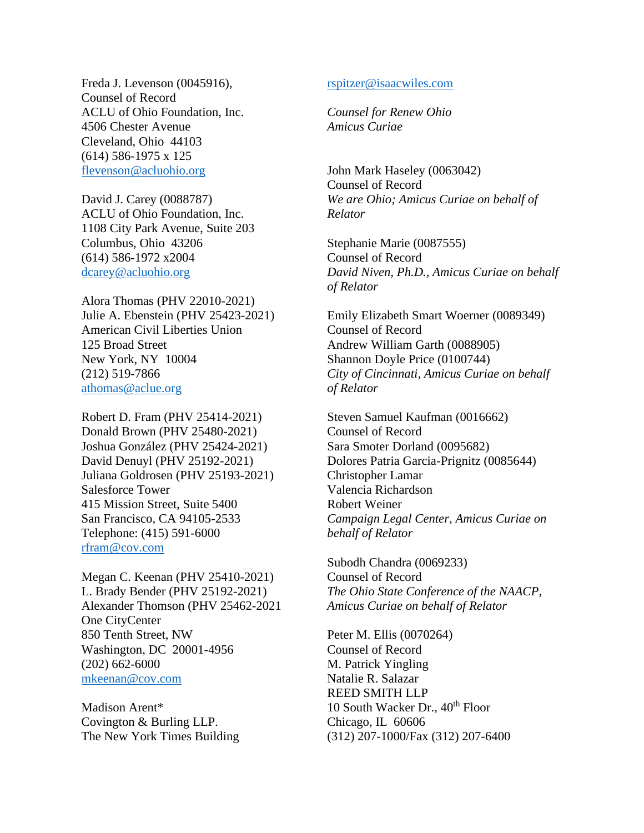Freda J. Levenson (0045916), Counsel of Record ACLU of Ohio Foundation, Inc. 4506 Chester Avenue Cleveland, Ohio 44103 (614) 586-1975 x 125 [flevenson@acluohio.org](about:blank)

David J. Carey (0088787) ACLU of Ohio Foundation, Inc. 1108 City Park Avenue, Suite 203 Columbus, Ohio 43206 (614) 586-1972 x2004 dcarey@acluohio.org

Alora Thomas (PHV 22010-2021) Julie A. Ebenstein (PHV 25423-2021) American Civil Liberties Union 125 Broad Street New York, NY 10004 (212) 519-7866 athomas@aclue.org

Robert D. Fram (PHV 25414-2021) Donald Brown (PHV 25480-2021) Joshua González (PHV 25424-2021) David Denuyl (PHV 25192-2021) Juliana Goldrosen (PHV 25193-2021) Salesforce Tower 415 Mission Street, Suite 5400 San Francisco, CA 94105-2533 Telephone: (415) 591-6000 rfram@cov.com

Megan C. Keenan (PHV 25410-2021) L. Brady Bender (PHV 25192-2021) Alexander Thomson (PHV 25462-2021 One CityCenter 850 Tenth Street, NW Washington, DC 20001-4956 (202) 662-6000 mkeenan@cov.com

Madison Arent\* Covington & Burling LLP. The New York Times Building

#### rspitzer@isaacwiles.com

*Counsel for Renew Ohio Amicus Curiae*

John Mark Haseley (0063042) Counsel of Record *We are Ohio; Amicus Curiae on behalf of Relator*

Stephanie Marie (0087555) Counsel of Record *David Niven, Ph.D., Amicus Curiae on behalf of Relator*

Emily Elizabeth Smart Woerner (0089349) Counsel of Record Andrew William Garth (0088905) Shannon Doyle Price (0100744) *City of Cincinnati, Amicus Curiae on behalf of Relator*

Steven Samuel Kaufman (0016662) Counsel of Record Sara Smoter Dorland (0095682) Dolores Patria Garcia-Prignitz (0085644) Christopher Lamar Valencia Richardson Robert Weiner *Campaign Legal Center, Amicus Curiae on behalf of Relator*

Subodh Chandra (0069233) Counsel of Record *The Ohio State Conference of the NAACP, Amicus Curiae on behalf of Relator*

Peter M. Ellis (0070264) Counsel of Record M. Patrick Yingling Natalie R. Salazar REED SMITH LLP 10 South Wacker Dr.,  $40^{th}$  Floor Chicago, IL 60606 (312) 207-1000/Fax (312) 207-6400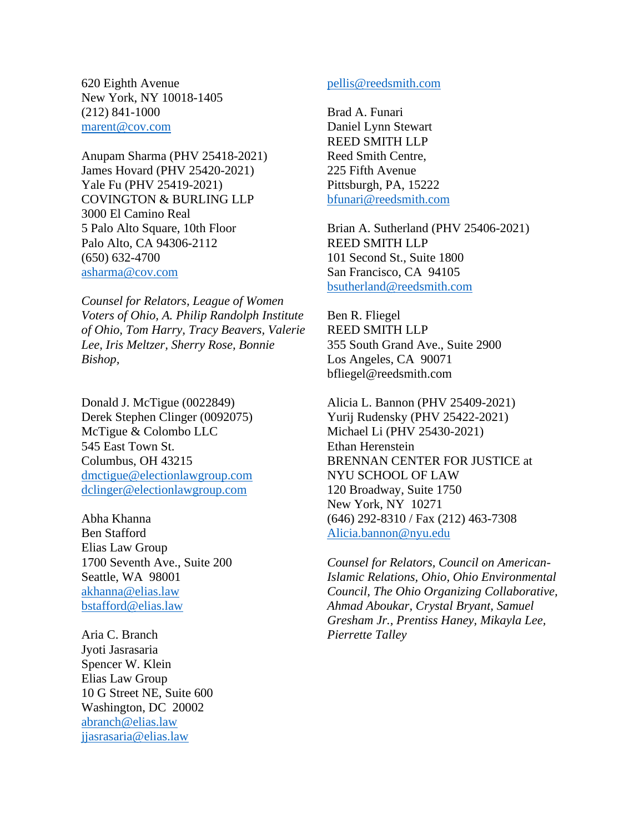620 Eighth Avenue New York, NY 10018-1405 (212) 841-1000 [marent@cov.com](about:blank)

Anupam Sharma (PHV 25418-2021) James Hovard (PHV 25420-2021) Yale Fu (PHV 25419-2021) COVINGTON & BURLING LLP 3000 El Camino Real 5 Palo Alto Square, 10th Floor Palo Alto, CA 94306-2112 (650) 632-4700 [asharma@cov.com](about:blank)

*Counsel for Relators, League of Women Voters of Ohio, A. Philip Randolph Institute of Ohio, Tom Harry, Tracy Beavers, Valerie Lee, Iris Meltzer, Sherry Rose, Bonnie Bishop,* 

Donald J. McTigue (0022849) Derek Stephen Clinger (0092075) McTigue & Colombo LLC 545 East Town St. Columbus, OH 43215 dmctigue@electionlawgroup.com dclinger@electionlawgroup.com

Abha Khanna Ben Stafford Elias Law Group 1700 Seventh Ave., Suite 200 Seattle, WA 98001 akhanna@elias.law bstafford@elias.law

Aria C. Branch Jyoti Jasrasaria Spencer W. Klein Elias Law Group 10 G Street NE, Suite 600 Washington, DC 20002 abranch@elias.law jjasrasaria@elias.law

#### pellis@reedsmith.com

Brad A. Funari Daniel Lynn Stewart REED SMITH LLP Reed Smith Centre, 225 Fifth Avenue Pittsburgh, PA, 15222 bfunari@reedsmith.com

Brian A. Sutherland (PHV 25406-2021) REED SMITH LLP 101 Second St., Suite 1800 San Francisco, CA 94105 bsutherland@reedsmith.com

Ben R. Fliegel REED SMITH LLP 355 South Grand Ave., Suite 2900 Los Angeles, CA 90071 bfliegel@reedsmith.com

Alicia L. Bannon (PHV 25409-2021) Yurij Rudensky (PHV 25422-2021) Michael Li (PHV 25430-2021) Ethan Herenstein BRENNAN CENTER FOR JUSTICE at NYU SCHOOL OF LAW 120 Broadway, Suite 1750 New York, NY 10271 (646) 292-8310 / Fax (212) 463-7308 Alicia.bannon@nyu.edu

*Counsel for Relators, Council on American-Islamic Relations, Ohio, Ohio Environmental Council, The Ohio Organizing Collaborative, Ahmad Aboukar, Crystal Bryant, Samuel Gresham Jr., Prentiss Haney, Mikayla Lee, Pierrette Talley*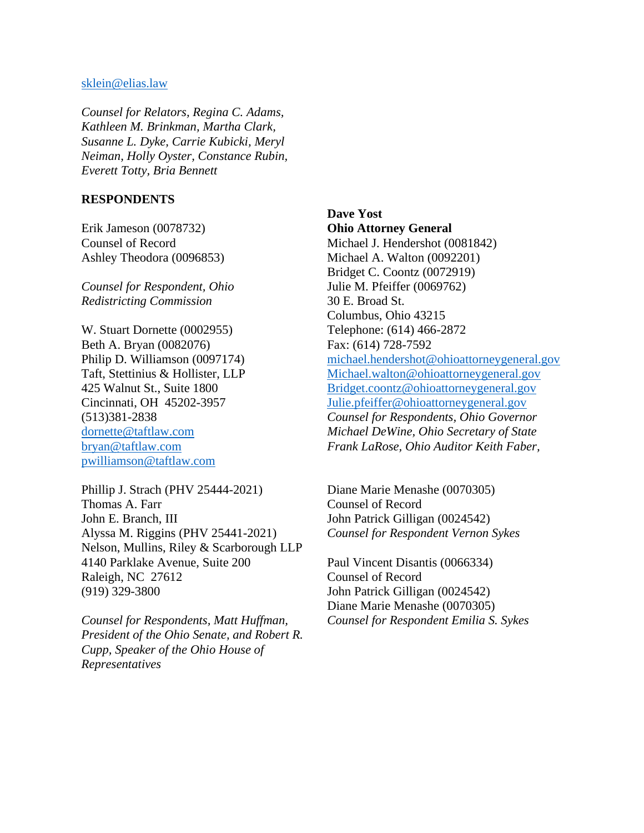#### sklein@elias.law

*Counsel for Relators, Regina C. Adams, Kathleen M. Brinkman, Martha Clark, Susanne L. Dyke, Carrie Kubicki, Meryl Neiman, Holly Oyster, Constance Rubin, Everett Totty, Bria Bennett*

#### **RESPONDENTS**

Erik Jameson (0078732) Counsel of Record Ashley Theodora (0096853)

*Counsel for Respondent, Ohio Redistricting Commission*

W. Stuart Dornette (0002955) Beth A. Bryan (0082076) Philip D. Williamson (0097174) Taft, Stettinius & Hollister, LLP 425 Walnut St., Suite 1800 Cincinnati, OH 45202-3957 (513)381-2838 dornette@taftlaw.com bryan@taftlaw.com pwilliamson@taftlaw.com

Phillip J. Strach (PHV 25444-2021) Thomas A. Farr John E. Branch, III Alyssa M. Riggins (PHV 25441-2021) Nelson, Mullins, Riley & Scarborough LLP 4140 Parklake Avenue, Suite 200 Raleigh, NC 27612 (919) 329-3800

*Counsel for Respondents, Matt Huffman, President of the Ohio Senate, and Robert R. Cupp, Speaker of the Ohio House of Representatives*

**Dave Yost Ohio Attorney General** Michael J. Hendershot (0081842) Michael A. Walton (0092201) Bridget C. Coontz (0072919) Julie M. Pfeiffer (0069762) 30 E. Broad St. Columbus, Ohio 43215 Telephone: (614) 466-2872 Fax: (614) 728-7592 [michael.hendershot@ohioattorneygeneral.gov](about:blank) [Michael.walton@ohioattorneygeneral.gov](about:blank) [Bridget.coontz@ohioattorneygeneral.gov](about:blank) [Julie.pfeiffer@ohioattorneygeneral.gov](about:blank) *Counsel for Respondents, Ohio Governor Michael DeWine, Ohio Secretary of State Frank LaRose, Ohio Auditor Keith Faber,* 

Diane Marie Menashe (0070305) Counsel of Record John Patrick Gilligan (0024542) *Counsel for Respondent Vernon Sykes*

Paul Vincent Disantis (0066334) Counsel of Record John Patrick Gilligan (0024542) Diane Marie Menashe (0070305) *Counsel for Respondent Emilia S. Sykes*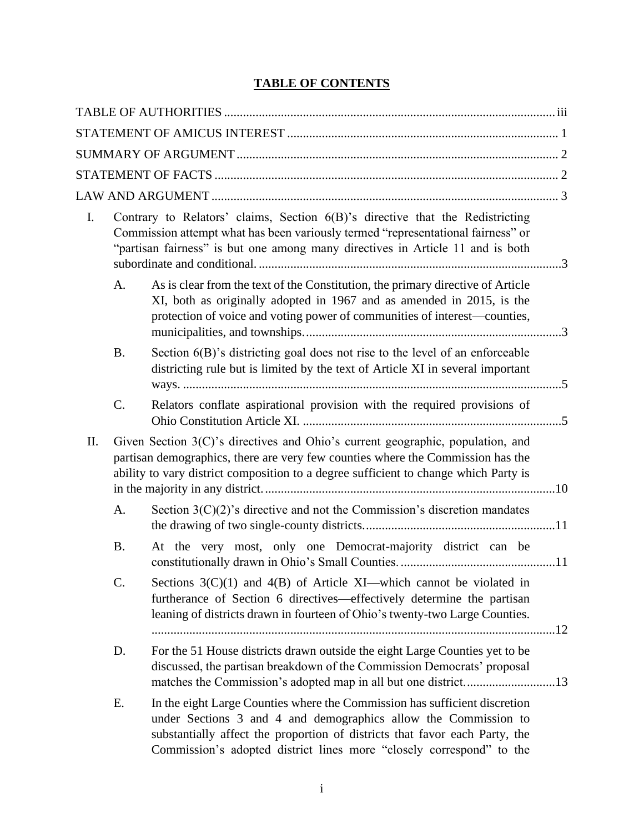# **TABLE OF CONTENTS**

| $\mathbf{I}$ . |           | Contrary to Relators' claims, Section 6(B)'s directive that the Redistricting<br>Commission attempt what has been variously termed "representational fairness" or<br>"partisan fairness" is but one among many directives in Article 11 and is both                                                  |  |
|----------------|-----------|------------------------------------------------------------------------------------------------------------------------------------------------------------------------------------------------------------------------------------------------------------------------------------------------------|--|
|                | A.        | As is clear from the text of the Constitution, the primary directive of Article<br>XI, both as originally adopted in 1967 and as amended in 2015, is the<br>protection of voice and voting power of communities of interest—counties,                                                                |  |
|                | <b>B.</b> | Section $6(B)$ 's districting goal does not rise to the level of an enforceable<br>districting rule but is limited by the text of Article XI in several important                                                                                                                                    |  |
|                | C.        | Relators conflate aspirational provision with the required provisions of                                                                                                                                                                                                                             |  |
| II.            |           | Given Section 3(C)'s directives and Ohio's current geographic, population, and<br>partisan demographics, there are very few counties where the Commission has the<br>ability to vary district composition to a degree sufficient to change which Party is                                            |  |
|                | A.        | Section $3(C)(2)$ 's directive and not the Commission's discretion mandates                                                                                                                                                                                                                          |  |
|                | <b>B.</b> | At the very most, only one Democrat-majority district can be                                                                                                                                                                                                                                         |  |
|                | C.        | Sections $3(C)(1)$ and $4(B)$ of Article XI—which cannot be violated in<br>furtherance of Section 6 directives—effectively determine the partisan<br>leaning of districts drawn in fourteen of Ohio's twenty-two Large Counties.                                                                     |  |
|                | D.        | For the 51 House districts drawn outside the eight Large Counties yet to be<br>discussed, the partisan breakdown of the Commission Democrats' proposal                                                                                                                                               |  |
|                | Ε.        | In the eight Large Counties where the Commission has sufficient discretion<br>under Sections 3 and 4 and demographics allow the Commission to<br>substantially affect the proportion of districts that favor each Party, the<br>Commission's adopted district lines more "closely correspond" to the |  |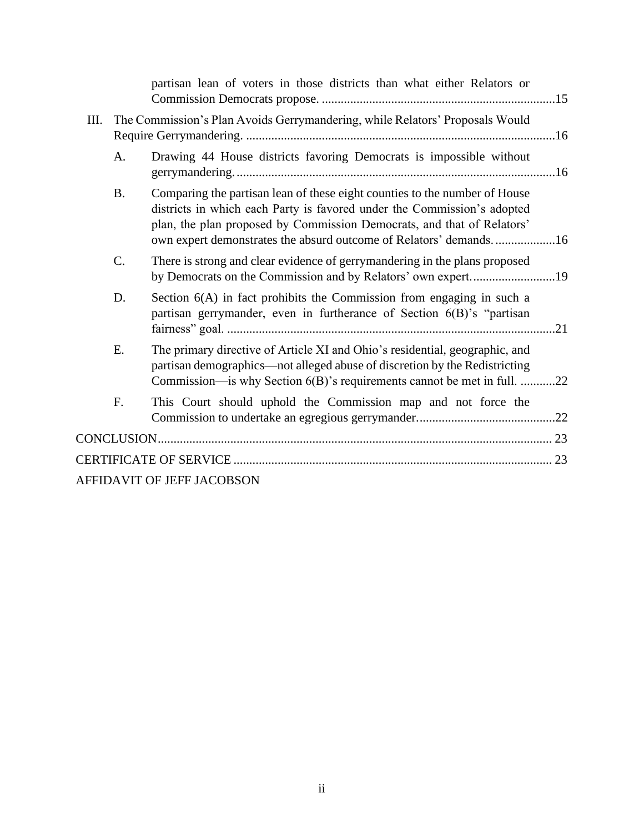|                                                                                    |           | partisan lean of voters in those districts than what either Relators or                                                                                                                                                                                                                              |  |  |  |
|------------------------------------------------------------------------------------|-----------|------------------------------------------------------------------------------------------------------------------------------------------------------------------------------------------------------------------------------------------------------------------------------------------------------|--|--|--|
| The Commission's Plan Avoids Gerrymandering, while Relators' Proposals Would<br>Ш. |           |                                                                                                                                                                                                                                                                                                      |  |  |  |
|                                                                                    | A.        | Drawing 44 House districts favoring Democrats is impossible without                                                                                                                                                                                                                                  |  |  |  |
|                                                                                    | <b>B.</b> | Comparing the partisan lean of these eight counties to the number of House<br>districts in which each Party is favored under the Commission's adopted<br>plan, the plan proposed by Commission Democrats, and that of Relators'<br>own expert demonstrates the absurd outcome of Relators' demands16 |  |  |  |
|                                                                                    | C.        | There is strong and clear evidence of gerrymandering in the plans proposed                                                                                                                                                                                                                           |  |  |  |
|                                                                                    | D.        | Section 6(A) in fact prohibits the Commission from engaging in such a<br>partisan gerrymander, even in furtherance of Section 6(B)'s "partisan                                                                                                                                                       |  |  |  |
|                                                                                    | Ε.        | The primary directive of Article XI and Ohio's residential, geographic, and<br>partisan demographics—not alleged abuse of discretion by the Redistricting<br>Commission—is why Section 6(B)'s requirements cannot be met in full. 22                                                                 |  |  |  |
|                                                                                    | F.        | This Court should uphold the Commission map and not force the                                                                                                                                                                                                                                        |  |  |  |
|                                                                                    |           |                                                                                                                                                                                                                                                                                                      |  |  |  |
|                                                                                    |           |                                                                                                                                                                                                                                                                                                      |  |  |  |
|                                                                                    |           | AFFIDAVIT OF JEFF JACOBSON                                                                                                                                                                                                                                                                           |  |  |  |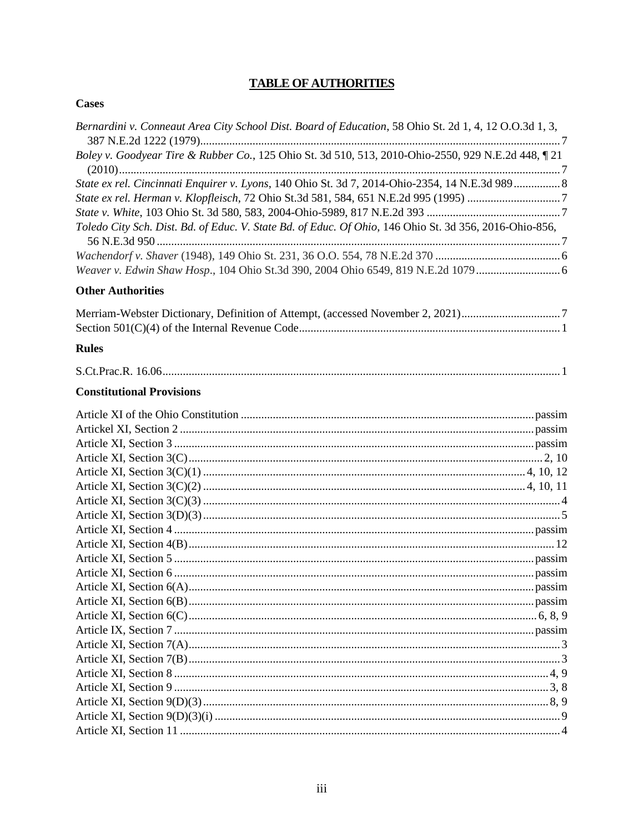# **TABLE OF AUTHORITIES**

#### <span id="page-6-0"></span>**Cases**

| Bernardini v. Conneaut Area City School Dist. Board of Education, 58 Ohio St. 2d 1, 4, 12 O.O.3d 1, 3, |  |
|--------------------------------------------------------------------------------------------------------|--|
| Boley v. Goodyear Tire & Rubber Co., 125 Ohio St. 3d 510, 513, 2010-Ohio-2550, 929 N.E.2d 448, 1 21    |  |
|                                                                                                        |  |
| State ex rel. Cincinnati Enquirer v. Lyons, 140 Ohio St. 3d 7, 2014-Ohio-2354, 14 N.E.3d 989 8         |  |
| State ex rel. Herman v. Klopfleisch, 72 Ohio St.3d 581, 584, 651 N.E.2d 995 (1995) 7                   |  |
|                                                                                                        |  |
| Toledo City Sch. Dist. Bd. of Educ. V. State Bd. of Educ. Of Ohio, 146 Ohio St. 3d 356, 2016-Ohio-856, |  |
|                                                                                                        |  |
|                                                                                                        |  |
| <b>Other Authorities</b>                                                                               |  |
| Merriam-Webster Dictionary, Definition of Attempt, (accessed November 2, 2021)7                        |  |
|                                                                                                        |  |
| <b>Rules</b>                                                                                           |  |
|                                                                                                        |  |
| <b>Constitutional Provisions</b>                                                                       |  |
|                                                                                                        |  |
|                                                                                                        |  |
|                                                                                                        |  |
|                                                                                                        |  |
|                                                                                                        |  |
|                                                                                                        |  |
|                                                                                                        |  |
|                                                                                                        |  |
|                                                                                                        |  |
|                                                                                                        |  |
|                                                                                                        |  |
|                                                                                                        |  |
|                                                                                                        |  |
|                                                                                                        |  |
|                                                                                                        |  |
|                                                                                                        |  |
|                                                                                                        |  |
|                                                                                                        |  |
|                                                                                                        |  |
|                                                                                                        |  |
|                                                                                                        |  |
|                                                                                                        |  |
|                                                                                                        |  |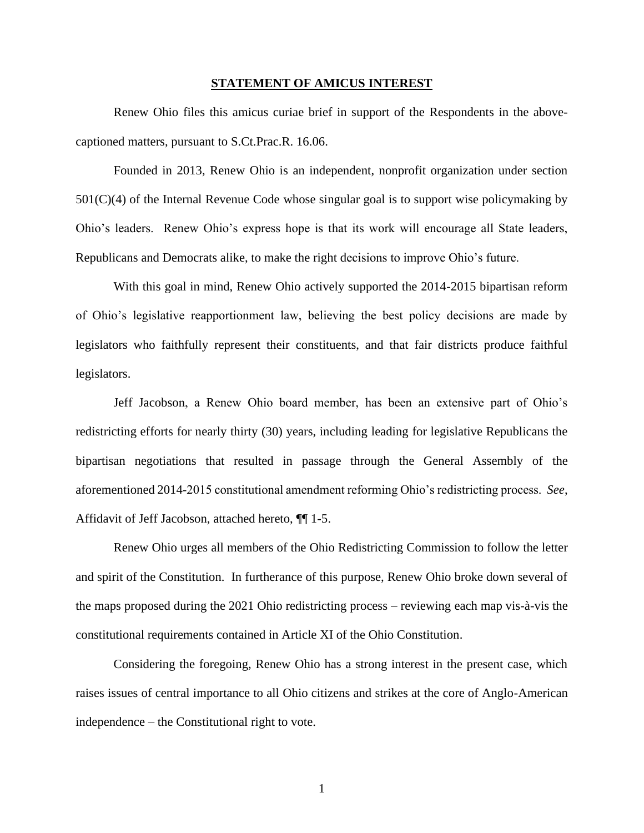#### **STATEMENT OF AMICUS INTEREST**

<span id="page-7-0"></span>Renew Ohio files this amicus curiae brief in support of the Respondents in the abovecaptioned matters, pursuant to S.Ct.Prac.R. 16.06.

Founded in 2013, Renew Ohio is an independent, nonprofit organization under section 501(C)(4) of the Internal Revenue Code whose singular goal is to support wise policymaking by Ohio's leaders. Renew Ohio's express hope is that its work will encourage all State leaders, Republicans and Democrats alike, to make the right decisions to improve Ohio's future.

With this goal in mind, Renew Ohio actively supported the 2014-2015 bipartisan reform of Ohio's legislative reapportionment law, believing the best policy decisions are made by legislators who faithfully represent their constituents, and that fair districts produce faithful legislators.

Jeff Jacobson, a Renew Ohio board member, has been an extensive part of Ohio's redistricting efforts for nearly thirty (30) years, including leading for legislative Republicans the bipartisan negotiations that resulted in passage through the General Assembly of the aforementioned 2014-2015 constitutional amendment reforming Ohio's redistricting process. *See*, Affidavit of Jeff Jacobson, attached hereto, ¶¶ 1-5.

Renew Ohio urges all members of the Ohio Redistricting Commission to follow the letter and spirit of the Constitution. In furtherance of this purpose, Renew Ohio broke down several of the maps proposed during the 2021 Ohio redistricting process – reviewing each map vis-à-vis the constitutional requirements contained in Article XI of the Ohio Constitution.

Considering the foregoing, Renew Ohio has a strong interest in the present case, which raises issues of central importance to all Ohio citizens and strikes at the core of Anglo-American independence – the Constitutional right to vote.

1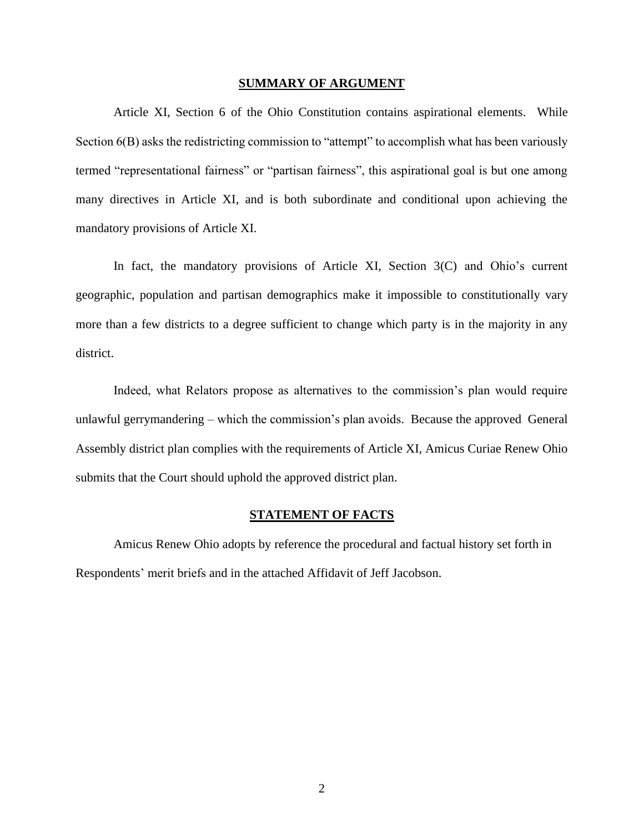#### **SUMMARY OF ARGUMENT**

<span id="page-8-0"></span>Article XI, Section 6 of the Ohio Constitution contains aspirational elements. While Section 6(B) asks the redistricting commission to "attempt" to accomplish what has been variously termed "representational fairness" or "partisan fairness", this aspirational goal is but one among many directives in Article XI, and is both subordinate and conditional upon achieving the mandatory provisions of Article XI.

In fact, the mandatory provisions of Article XI, Section 3(C) and Ohio's current geographic, population and partisan demographics make it impossible to constitutionally vary more than a few districts to a degree sufficient to change which party is in the majority in any district.

Indeed, what Relators propose as alternatives to the commission's plan would require unlawful gerrymandering – which the commission's plan avoids. Because the approved General Assembly district plan complies with the requirements of Article XI, Amicus Curiae Renew Ohio submits that the Court should uphold the approved district plan.

#### **STATEMENT OF FACTS**

<span id="page-8-1"></span>Amicus Renew Ohio adopts by reference the procedural and factual history set forth in Respondents' merit briefs and in the attached Affidavit of Jeff Jacobson.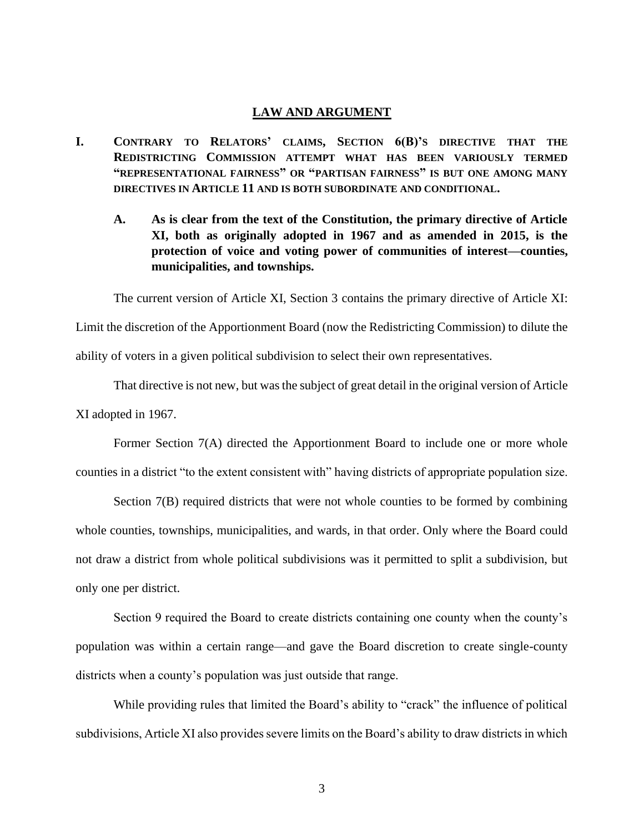#### **LAW AND ARGUMENT**

- <span id="page-9-2"></span><span id="page-9-1"></span><span id="page-9-0"></span>**I. CONTRARY TO RELATORS' CLAIMS, SECTION 6(B)'S DIRECTIVE THAT THE REDISTRICTING COMMISSION ATTEMPT WHAT HAS BEEN VARIOUSLY TERMED "REPRESENTATIONAL FAIRNESS" OR "PARTISAN FAIRNESS" IS BUT ONE AMONG MANY DIRECTIVES IN ARTICLE 11 AND IS BOTH SUBORDINATE AND CONDITIONAL.**
	- **A. As is clear from the text of the Constitution, the primary directive of Article XI, both as originally adopted in 1967 and as amended in 2015, is the protection of voice and voting power of communities of interest—counties, municipalities, and townships.**

The current version of Article XI, Section 3 contains the primary directive of Article XI: Limit the discretion of the Apportionment Board (now the Redistricting Commission) to dilute the ability of voters in a given political subdivision to select their own representatives.

That directive is not new, but was the subject of great detail in the original version of Article XI adopted in 1967.

Former Section 7(A) directed the Apportionment Board to include one or more whole counties in a district "to the extent consistent with" having districts of appropriate population size.

Section 7(B) required districts that were not whole counties to be formed by combining whole counties, townships, municipalities, and wards, in that order. Only where the Board could not draw a district from whole political subdivisions was it permitted to split a subdivision, but only one per district.

Section 9 required the Board to create districts containing one county when the county's population was within a certain range—and gave the Board discretion to create single-county districts when a county's population was just outside that range.

While providing rules that limited the Board's ability to "crack" the influence of political subdivisions, Article XI also provides severe limits on the Board's ability to draw districts in which

3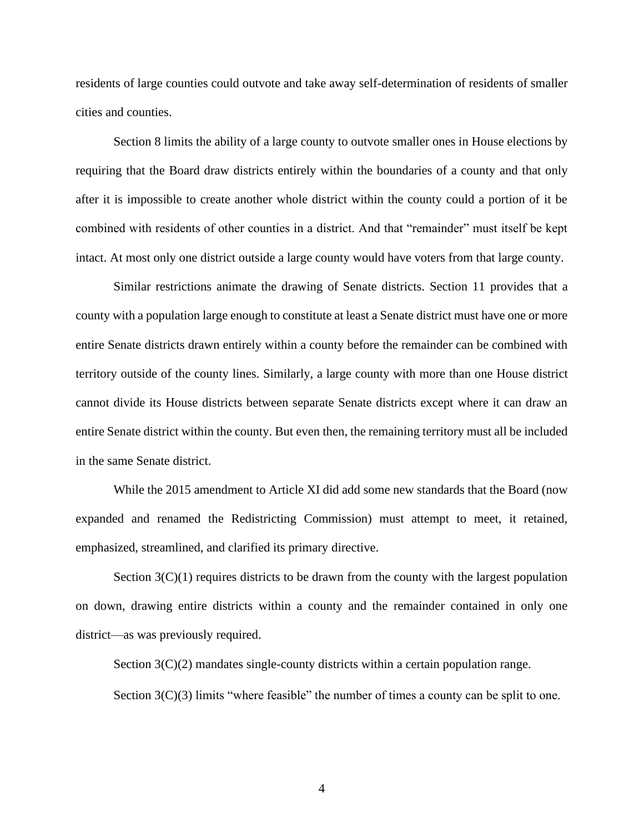residents of large counties could outvote and take away self-determination of residents of smaller cities and counties.

Section 8 limits the ability of a large county to outvote smaller ones in House elections by requiring that the Board draw districts entirely within the boundaries of a county and that only after it is impossible to create another whole district within the county could a portion of it be combined with residents of other counties in a district. And that "remainder" must itself be kept intact. At most only one district outside a large county would have voters from that large county.

Similar restrictions animate the drawing of Senate districts. Section 11 provides that a county with a population large enough to constitute at least a Senate district must have one or more entire Senate districts drawn entirely within a county before the remainder can be combined with territory outside of the county lines. Similarly, a large county with more than one House district cannot divide its House districts between separate Senate districts except where it can draw an entire Senate district within the county. But even then, the remaining territory must all be included in the same Senate district.

While the 2015 amendment to Article XI did add some new standards that the Board (now expanded and renamed the Redistricting Commission) must attempt to meet, it retained, emphasized, streamlined, and clarified its primary directive.

Section  $3(C)(1)$  requires districts to be drawn from the county with the largest population on down, drawing entire districts within a county and the remainder contained in only one district—as was previously required.

Section  $3(C)(2)$  mandates single-county districts within a certain population range.

Section  $3(C)(3)$  limits "where feasible" the number of times a county can be split to one.

4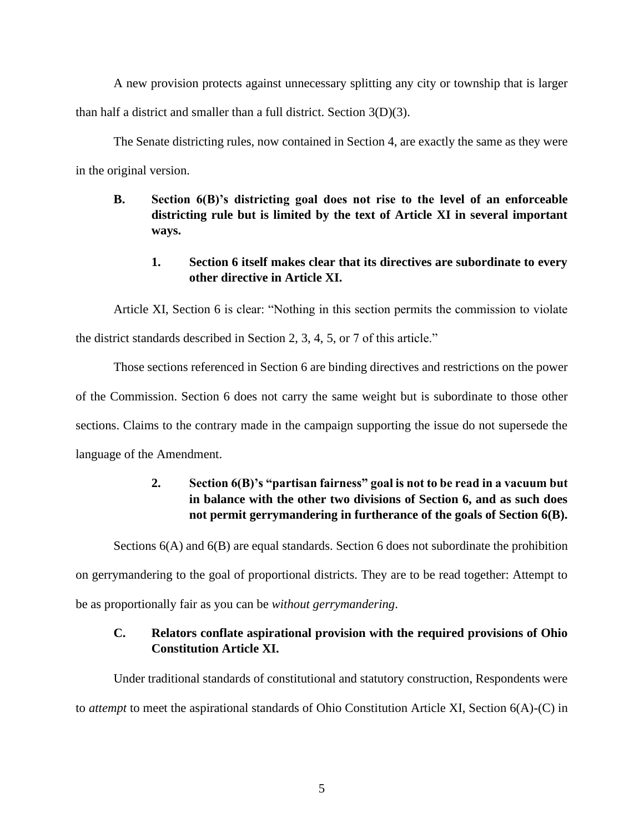A new provision protects against unnecessary splitting any city or township that is larger than half a district and smaller than a full district. Section 3(D)(3).

The Senate districting rules, now contained in Section 4, are exactly the same as they were in the original version.

# <span id="page-11-0"></span>**B. Section 6(B)'s districting goal does not rise to the level of an enforceable districting rule but is limited by the text of Article XI in several important ways.**

# **1. Section 6 itself makes clear that its directives are subordinate to every other directive in Article XI.**

Article XI, Section 6 is clear: "Nothing in this section permits the commission to violate the district standards described in Section 2, 3, 4, 5, or 7 of this article."

Those sections referenced in Section 6 are binding directives and restrictions on the power of the Commission. Section 6 does not carry the same weight but is subordinate to those other sections. Claims to the contrary made in the campaign supporting the issue do not supersede the language of the Amendment.

# **2. Section 6(B)'s "partisan fairness" goal is not to be read in a vacuum but in balance with the other two divisions of Section 6, and as such does not permit gerrymandering in furtherance of the goals of Section 6(B).**

Sections  $6(A)$  and  $6(B)$  are equal standards. Section 6 does not subordinate the prohibition

on gerrymandering to the goal of proportional districts. They are to be read together: Attempt to

<span id="page-11-1"></span>be as proportionally fair as you can be *without gerrymandering*.

# **C. Relators conflate aspirational provision with the required provisions of Ohio Constitution Article XI.**

Under traditional standards of constitutional and statutory construction, Respondents were to *attempt* to meet the aspirational standards of Ohio Constitution Article XI, Section 6(A)-(C) in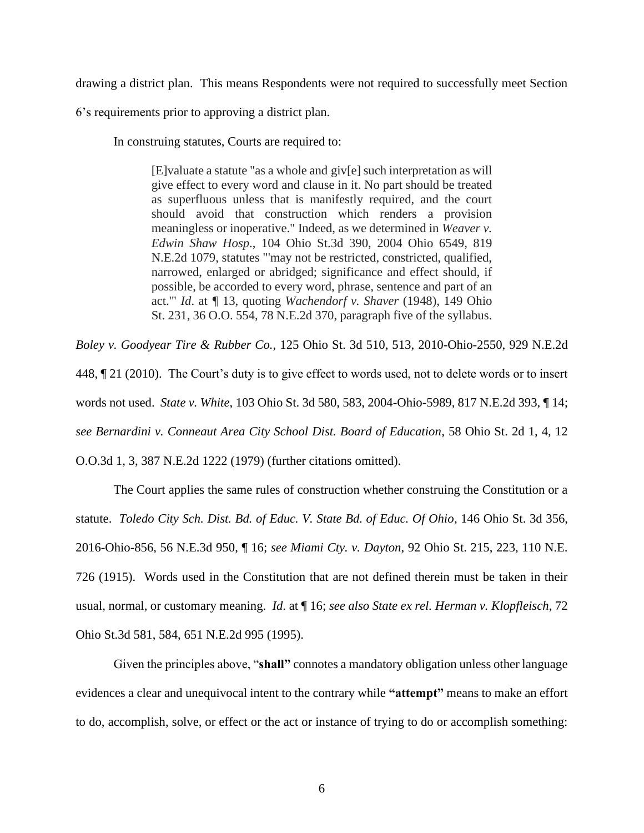drawing a district plan. This means Respondents were not required to successfully meet Section

6's requirements prior to approving a district plan.

In construing statutes, Courts are required to:

[E]valuate a statute "as a whole and giv[e] such interpretation as will give effect to every word and clause in it. No part should be treated as superfluous unless that is manifestly required, and the court should avoid that construction which renders a provision meaningless or inoperative." Indeed, as we determined in *Weaver v. Edwin Shaw Hosp*., 104 Ohio St.3d 390, 2004 Ohio 6549, 819 N.E.2d 1079, statutes "'may not be restricted, constricted, qualified, narrowed, enlarged or abridged; significance and effect should, if possible, be accorded to every word, phrase, sentence and part of an act.'" *Id*. at *¶* 13, quoting *Wachendorf v. Shaver* (1948), 149 Ohio St. 231, 36 O.O. 554, 78 N.E.2d 370, paragraph five of the syllabus.

*Boley v. Goodyear Tire & Rubber Co.*, 125 Ohio St. 3d 510, 513, 2010-Ohio-2550, 929 N.E.2d 448, ¶ 21 (2010). The Court's duty is to give effect to words used, not to delete words or to insert words not used. *State v. White*, 103 Ohio St. 3d 580, 583, 2004-Ohio-5989, 817 N.E.2d 393, ¶ 14; *see Bernardini v. Conneaut Area City School Dist. Board of Education*, 58 Ohio St. 2d 1, 4, 12 O.O.3d 1, 3, 387 N.E.2d 1222 (1979) (further citations omitted).

The Court applies the same rules of construction whether construing the Constitution or a statute. *Toledo City Sch. Dist. Bd. of Educ. V. State Bd. of Educ. Of Ohio*, 146 Ohio St. 3d 356, 2016-Ohio-856, 56 N.E.3d 950, ¶ 16; *see Miami Cty. v. Dayton*, 92 Ohio St. 215, 223, 110 N.E. 726 (1915). Words used in the Constitution that are not defined therein must be taken in their usual, normal, or customary meaning. *Id*. at ¶ 16; *see also State ex rel. Herman v. Klopfleisch*, 72 Ohio St.3d 581, 584, 651 N.E.2d 995 (1995).

Given the principles above, "**shall"** connotes a mandatory obligation unless other language evidences a clear and unequivocal intent to the contrary while **"attempt"** means to make an effort to do, accomplish, solve, or effect or the act or instance of trying to do or accomplish something: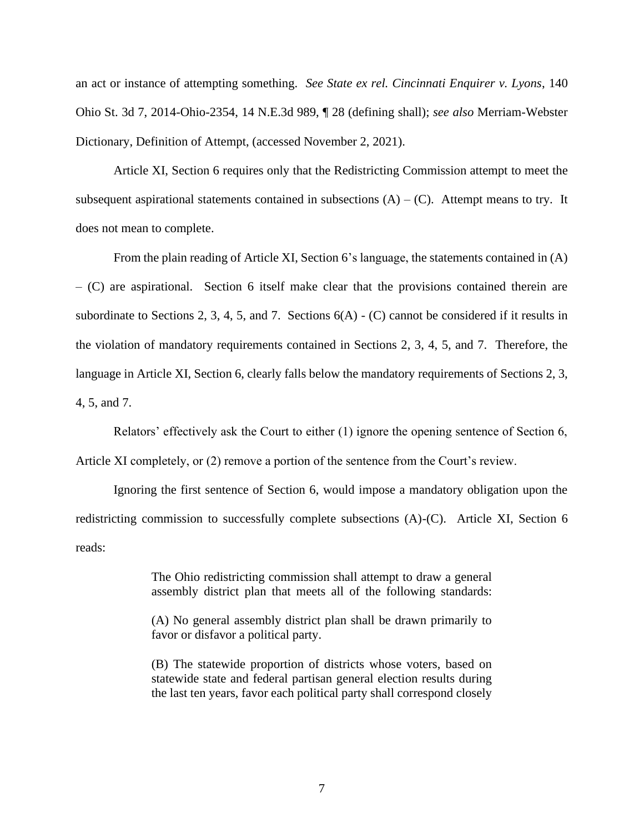an act or instance of attempting something. *See State ex rel. Cincinnati Enquirer v. Lyons*, 140 Ohio St. 3d 7, 2014-Ohio-2354, 14 N.E.3d 989, ¶ 28 (defining shall); *see also* Merriam-Webster Dictionary, Definition of Attempt, (accessed November 2, 2021).

Article XI, Section 6 requires only that the Redistricting Commission attempt to meet the subsequent aspirational statements contained in subsections  $(A) - (C)$ . Attempt means to try. It does not mean to complete.

From the plain reading of Article XI, Section 6's language, the statements contained in (A) – (C) are aspirational. Section 6 itself make clear that the provisions contained therein are subordinate to Sections 2, 3, 4, 5, and 7. Sections 6(A) - (C) cannot be considered if it results in the violation of mandatory requirements contained in Sections 2, 3, 4, 5, and 7. Therefore, the language in Article XI, Section 6, clearly falls below the mandatory requirements of Sections 2, 3, 4, 5, and 7.

Relators' effectively ask the Court to either (1) ignore the opening sentence of Section 6, Article XI completely, or (2) remove a portion of the sentence from the Court's review.

Ignoring the first sentence of Section 6, would impose a mandatory obligation upon the redistricting commission to successfully complete subsections (A)-(C). Article XI, Section 6 reads:

> The Ohio redistricting commission shall attempt to draw a general assembly district plan that meets all of the following standards:

> (A) No general assembly district plan shall be drawn primarily to favor or disfavor a political party.

> (B) The statewide proportion of districts whose voters, based on statewide state and federal partisan general election results during the last ten years, favor each political party shall correspond closely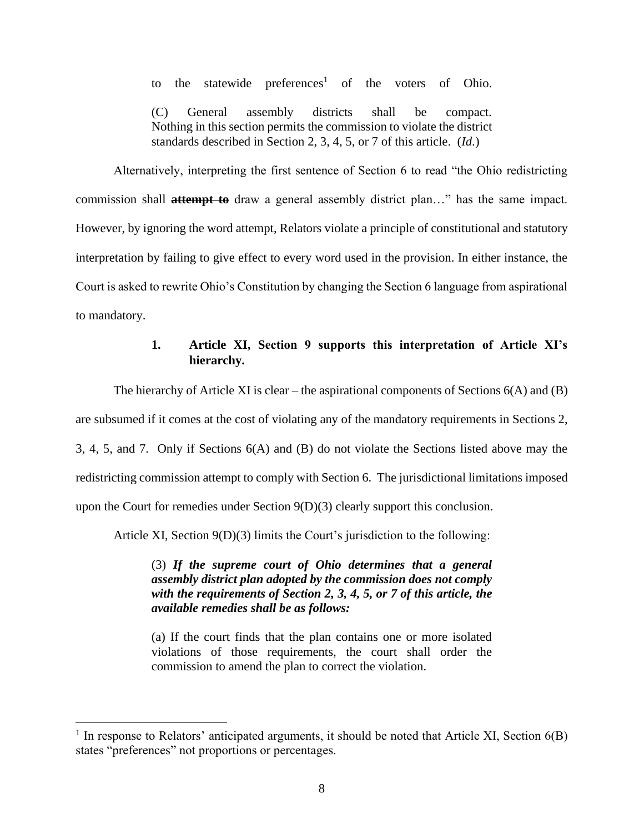to the statewide preferences<sup>1</sup> of the voters of Ohio.

(C) General assembly districts shall be compact. Nothing in this section permits the commission to violate the district standards described in Section 2, 3, 4, 5, or 7 of this article. (*Id*.)

Alternatively, interpreting the first sentence of Section 6 to read "the Ohio redistricting commission shall **attempt to** draw a general assembly district plan…" has the same impact. However, by ignoring the word attempt, Relators violate a principle of constitutional and statutory interpretation by failing to give effect to every word used in the provision. In either instance, the Court is asked to rewrite Ohio's Constitution by changing the Section 6 language from aspirational to mandatory.

### **1. Article XI, Section 9 supports this interpretation of Article XI's hierarchy.**

The hierarchy of Article XI is clear – the aspirational components of Sections  $6(A)$  and  $(B)$ are subsumed if it comes at the cost of violating any of the mandatory requirements in Sections 2, 3, 4, 5, and 7. Only if Sections 6(A) and (B) do not violate the Sections listed above may the redistricting commission attempt to comply with Section 6. The jurisdictional limitations imposed upon the Court for remedies under Section 9(D)(3) clearly support this conclusion.

Article XI, Section 9(D)(3) limits the Court's jurisdiction to the following:

(3) *If the supreme court of Ohio determines that a general assembly district plan adopted by the commission does not comply with the requirements of Section 2, 3, 4, 5, or 7 of this article, the available remedies shall be as follows:*

(a) If the court finds that the plan contains one or more isolated violations of those requirements, the court shall order the commission to amend the plan to correct the violation.

<sup>&</sup>lt;sup>1</sup> In response to Relators' anticipated arguments, it should be noted that Article XI, Section  $6(B)$ states "preferences" not proportions or percentages.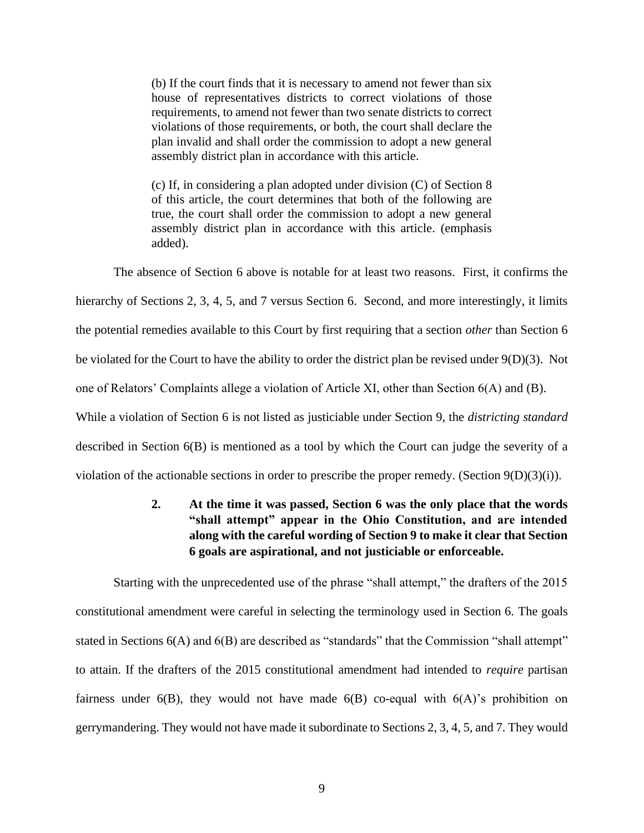(b) If the court finds that it is necessary to amend not fewer than six house of representatives districts to correct violations of those requirements, to amend not fewer than two senate districts to correct violations of those requirements, or both, the court shall declare the plan invalid and shall order the commission to adopt a new general assembly district plan in accordance with this article.

(c) If, in considering a plan adopted under division (C) of Section 8 of this article, the court determines that both of the following are true, the court shall order the commission to adopt a new general assembly district plan in accordance with this article. (emphasis added).

The absence of Section 6 above is notable for at least two reasons. First, it confirms the hierarchy of Sections 2, 3, 4, 5, and 7 versus Section 6. Second, and more interestingly, it limits the potential remedies available to this Court by first requiring that a section *other* than Section 6 be violated for the Court to have the ability to order the district plan be revised under 9(D)(3). Not one of Relators' Complaints allege a violation of Article XI, other than Section 6(A) and (B). While a violation of Section 6 is not listed as justiciable under Section 9, the *districting standard* described in Section 6(B) is mentioned as a tool by which the Court can judge the severity of a violation of the actionable sections in order to prescribe the proper remedy. (Section 9(D)(3)(i)).

# **2. At the time it was passed, Section 6 was the only place that the words "shall attempt" appear in the Ohio Constitution, and are intended along with the careful wording of Section 9 to make it clear that Section 6 goals are aspirational, and not justiciable or enforceable.**

Starting with the unprecedented use of the phrase "shall attempt," the drafters of the 2015 constitutional amendment were careful in selecting the terminology used in Section 6. The goals stated in Sections 6(A) and 6(B) are described as "standards" that the Commission "shall attempt" to attain. If the drafters of the 2015 constitutional amendment had intended to *require* partisan fairness under  $6(B)$ , they would not have made  $6(B)$  co-equal with  $6(A)$ 's prohibition on gerrymandering. They would not have made it subordinate to Sections 2, 3, 4, 5, and 7. They would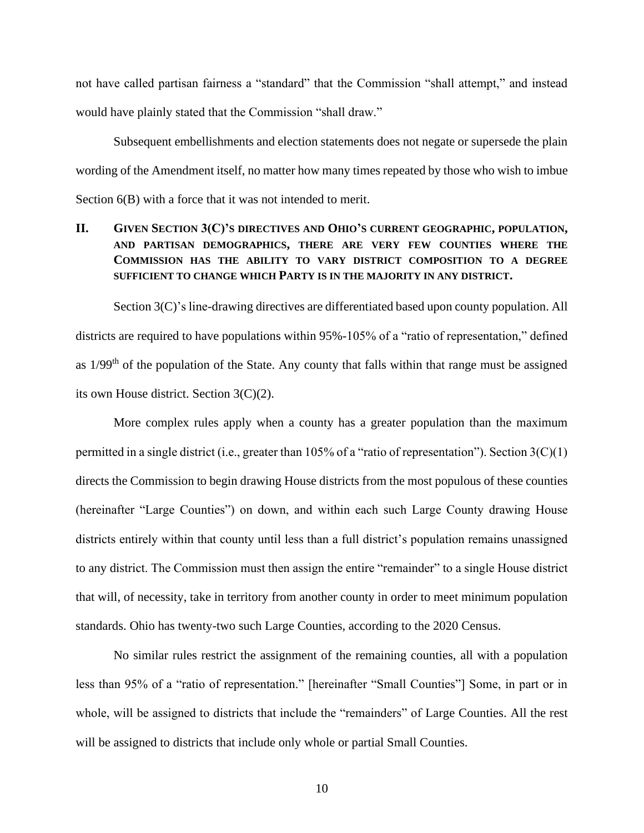not have called partisan fairness a "standard" that the Commission "shall attempt," and instead would have plainly stated that the Commission "shall draw."

Subsequent embellishments and election statements does not negate or supersede the plain wording of the Amendment itself, no matter how many times repeated by those who wish to imbue Section 6(B) with a force that it was not intended to merit.

# <span id="page-16-0"></span>**II. GIVEN SECTION 3(C)'S DIRECTIVES AND OHIO'S CURRENT GEOGRAPHIC, POPULATION, AND PARTISAN DEMOGRAPHICS, THERE ARE VERY FEW COUNTIES WHERE THE COMMISSION HAS THE ABILITY TO VARY DISTRICT COMPOSITION TO A DEGREE SUFFICIENT TO CHANGE WHICH PARTY IS IN THE MAJORITY IN ANY DISTRICT.**

Section 3(C)'s line-drawing directives are differentiated based upon county population. All districts are required to have populations within 95%-105% of a "ratio of representation," defined as 1/99<sup>th</sup> of the population of the State. Any county that falls within that range must be assigned its own House district. Section 3(C)(2).

More complex rules apply when a county has a greater population than the maximum permitted in a single district (i.e., greater than 105% of a "ratio of representation"). Section 3(C)(1) directs the Commission to begin drawing House districts from the most populous of these counties (hereinafter "Large Counties") on down, and within each such Large County drawing House districts entirely within that county until less than a full district's population remains unassigned to any district. The Commission must then assign the entire "remainder" to a single House district that will, of necessity, take in territory from another county in order to meet minimum population standards. Ohio has twenty-two such Large Counties, according to the 2020 Census.

No similar rules restrict the assignment of the remaining counties, all with a population less than 95% of a "ratio of representation." [hereinafter "Small Counties"] Some, in part or in whole, will be assigned to districts that include the "remainders" of Large Counties. All the rest will be assigned to districts that include only whole or partial Small Counties.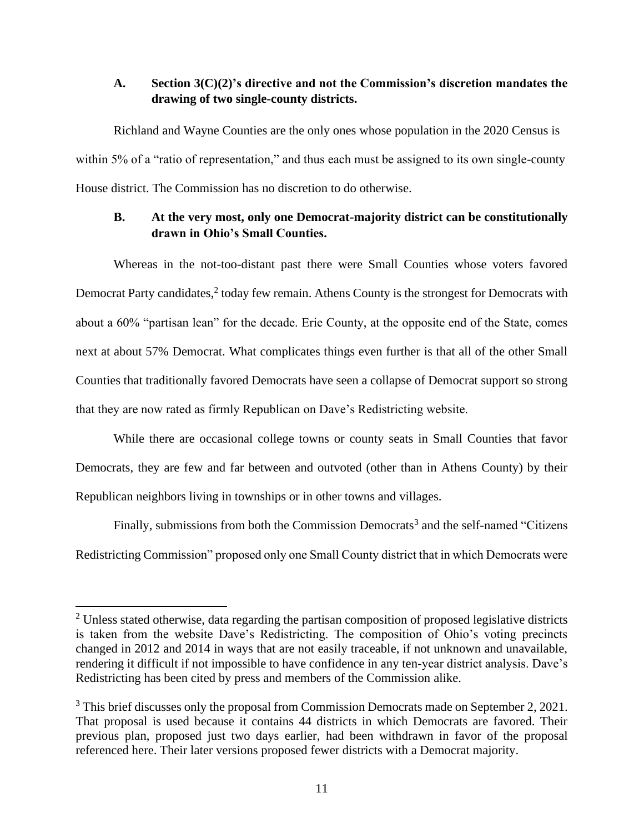### <span id="page-17-0"></span>**A. Section 3(C)(2)'s directive and not the Commission's discretion mandates the drawing of two single-county districts.**

Richland and Wayne Counties are the only ones whose population in the 2020 Census is within 5% of a "ratio of representation," and thus each must be assigned to its own single-county House district. The Commission has no discretion to do otherwise.

### <span id="page-17-1"></span>**B. At the very most, only one Democrat-majority district can be constitutionally drawn in Ohio's Small Counties.**

Whereas in the not-too-distant past there were Small Counties whose voters favored Democrat Party candidates,<sup>2</sup> today few remain. Athens County is the strongest for Democrats with about a 60% "partisan lean" for the decade. Erie County, at the opposite end of the State, comes next at about 57% Democrat. What complicates things even further is that all of the other Small Counties that traditionally favored Democrats have seen a collapse of Democrat support so strong that they are now rated as firmly Republican on Dave's Redistricting website.

While there are occasional college towns or county seats in Small Counties that favor Democrats, they are few and far between and outvoted (other than in Athens County) by their Republican neighbors living in townships or in other towns and villages.

Finally, submissions from both the Commission Democrats<sup>3</sup> and the self-named "Citizens Redistricting Commission" proposed only one Small County district that in which Democrats were

<sup>&</sup>lt;sup>2</sup> Unless stated otherwise, data regarding the partisan composition of proposed legislative districts is taken from the website Dave's Redistricting. The composition of Ohio's voting precincts changed in 2012 and 2014 in ways that are not easily traceable, if not unknown and unavailable, rendering it difficult if not impossible to have confidence in any ten-year district analysis. Dave's Redistricting has been cited by press and members of the Commission alike.

 $3$  This brief discusses only the proposal from Commission Democrats made on September 2, 2021. That proposal is used because it contains 44 districts in which Democrats are favored. Their previous plan, proposed just two days earlier, had been withdrawn in favor of the proposal referenced here. Their later versions proposed fewer districts with a Democrat majority.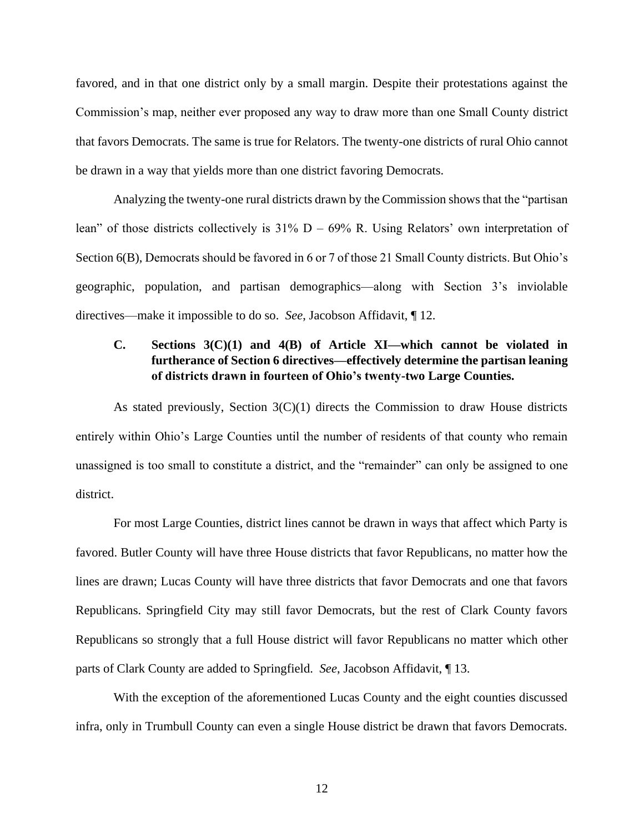favored, and in that one district only by a small margin. Despite their protestations against the Commission's map, neither ever proposed any way to draw more than one Small County district that favors Democrats. The same is true for Relators. The twenty-one districts of rural Ohio cannot be drawn in a way that yields more than one district favoring Democrats.

Analyzing the twenty-one rural districts drawn by the Commission shows that the "partisan lean" of those districts collectively is  $31\%$  D –  $69\%$  R. Using Relators' own interpretation of Section 6(B), Democrats should be favored in 6 or 7 of those 21 Small County districts. But Ohio's geographic, population, and partisan demographics—along with Section 3's inviolable directives—make it impossible to do so. *See*, Jacobson Affidavit, ¶ 12.

# <span id="page-18-0"></span>**C. Sections 3(C)(1) and 4(B) of Article XI—which cannot be violated in furtherance of Section 6 directives—effectively determine the partisan leaning of districts drawn in fourteen of Ohio's twenty-two Large Counties.**

As stated previously, Section  $3(C)(1)$  directs the Commission to draw House districts entirely within Ohio's Large Counties until the number of residents of that county who remain unassigned is too small to constitute a district, and the "remainder" can only be assigned to one district.

For most Large Counties, district lines cannot be drawn in ways that affect which Party is favored. Butler County will have three House districts that favor Republicans, no matter how the lines are drawn; Lucas County will have three districts that favor Democrats and one that favors Republicans. Springfield City may still favor Democrats, but the rest of Clark County favors Republicans so strongly that a full House district will favor Republicans no matter which other parts of Clark County are added to Springfield. *See*, Jacobson Affidavit, ¶ 13.

With the exception of the aforementioned Lucas County and the eight counties discussed infra, only in Trumbull County can even a single House district be drawn that favors Democrats.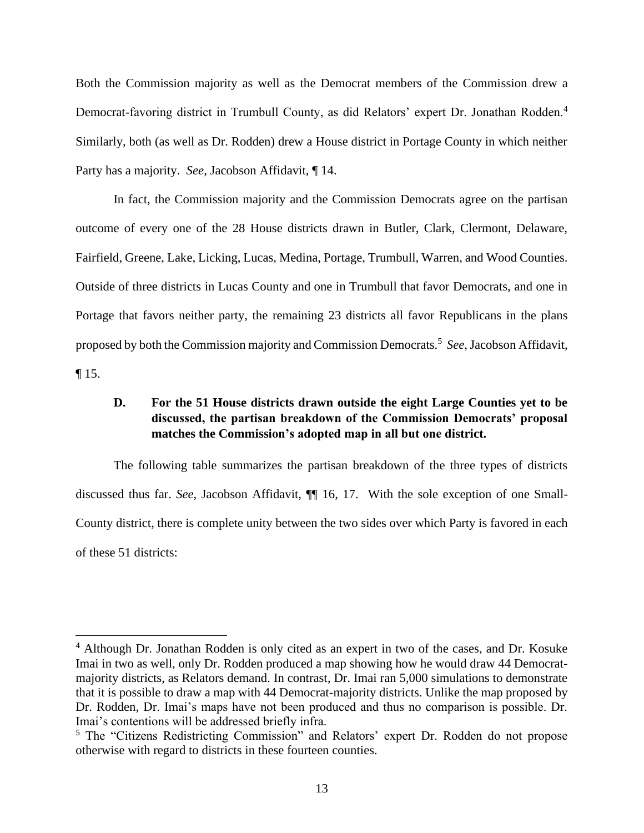Both the Commission majority as well as the Democrat members of the Commission drew a Democrat-favoring district in Trumbull County, as did Relators' expert Dr. Jonathan Rodden.<sup>4</sup> Similarly, both (as well as Dr. Rodden) drew a House district in Portage County in which neither Party has a majority. *See*, Jacobson Affidavit, ¶ 14.

In fact, the Commission majority and the Commission Democrats agree on the partisan outcome of every one of the 28 House districts drawn in Butler, Clark, Clermont, Delaware, Fairfield, Greene, Lake, Licking, Lucas, Medina, Portage, Trumbull, Warren, and Wood Counties. Outside of three districts in Lucas County and one in Trumbull that favor Democrats, and one in Portage that favors neither party, the remaining 23 districts all favor Republicans in the plans proposed by both the Commission majority and Commission Democrats.<sup>5</sup> *See*, Jacobson Affidavit,  $\P$  15.

### <span id="page-19-0"></span>**D. For the 51 House districts drawn outside the eight Large Counties yet to be discussed, the partisan breakdown of the Commission Democrats' proposal matches the Commission's adopted map in all but one district.**

The following table summarizes the partisan breakdown of the three types of districts discussed thus far. *See*, Jacobson Affidavit, ¶¶ 16, 17. With the sole exception of one Small-County district, there is complete unity between the two sides over which Party is favored in each of these 51 districts:

<sup>4</sup> Although Dr. Jonathan Rodden is only cited as an expert in two of the cases, and Dr. Kosuke Imai in two as well, only Dr. Rodden produced a map showing how he would draw 44 Democratmajority districts, as Relators demand. In contrast, Dr. Imai ran 5,000 simulations to demonstrate that it is possible to draw a map with 44 Democrat-majority districts. Unlike the map proposed by Dr. Rodden, Dr. Imai's maps have not been produced and thus no comparison is possible. Dr. Imai's contentions will be addressed briefly infra.

<sup>&</sup>lt;sup>5</sup> The "Citizens Redistricting Commission" and Relators' expert Dr. Rodden do not propose otherwise with regard to districts in these fourteen counties.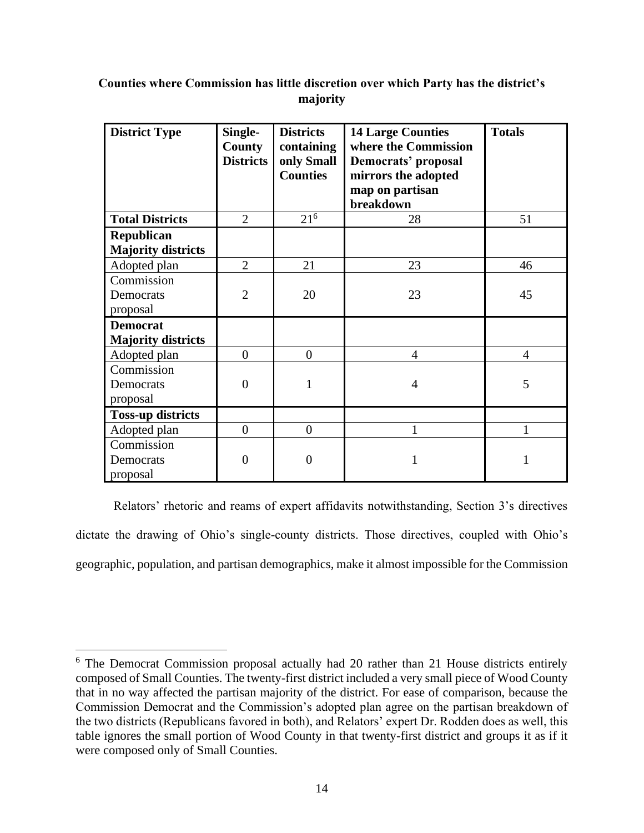# **Counties where Commission has little discretion over which Party has the district's majority**

| <b>District Type</b>                         | Single-<br><b>County</b><br><b>Districts</b> | <b>Districts</b><br>containing<br>only Small<br><b>Counties</b> | <b>14 Large Counties</b><br>where the Commission<br>Democrats' proposal<br>mirrors the adopted<br>map on partisan<br>breakdown | <b>Totals</b>  |
|----------------------------------------------|----------------------------------------------|-----------------------------------------------------------------|--------------------------------------------------------------------------------------------------------------------------------|----------------|
| <b>Total Districts</b>                       | $\overline{2}$                               | $21^{6}$                                                        | 28                                                                                                                             | 51             |
| Republican<br><b>Majority districts</b>      |                                              |                                                                 |                                                                                                                                |                |
| Adopted plan                                 | $\overline{2}$                               | 21                                                              | 23                                                                                                                             | 46             |
| Commission<br>Democrats<br>proposal          | $\overline{2}$                               | 20                                                              | 23                                                                                                                             | 45             |
| <b>Democrat</b><br><b>Majority districts</b> |                                              |                                                                 |                                                                                                                                |                |
| Adopted plan                                 | $\overline{0}$                               | $\overline{0}$                                                  | $\overline{4}$                                                                                                                 | $\overline{4}$ |
| Commission<br>Democrats<br>proposal          | $\theta$                                     | 1                                                               | $\overline{4}$                                                                                                                 | 5              |
| <b>Toss-up districts</b>                     |                                              |                                                                 |                                                                                                                                |                |
| Adopted plan                                 | $\overline{0}$                               | $\overline{0}$                                                  | 1                                                                                                                              | 1              |
| Commission<br>Democrats<br>proposal          | $\theta$                                     | $\theta$                                                        | 1                                                                                                                              | 1              |

Relators' rhetoric and reams of expert affidavits notwithstanding, Section 3's directives dictate the drawing of Ohio's single-county districts. Those directives, coupled with Ohio's geographic, population, and partisan demographics, make it almost impossible for the Commission

<sup>6</sup> The Democrat Commission proposal actually had 20 rather than 21 House districts entirely composed of Small Counties. The twenty-first district included a very small piece of Wood County that in no way affected the partisan majority of the district. For ease of comparison, because the Commission Democrat and the Commission's adopted plan agree on the partisan breakdown of the two districts (Republicans favored in both), and Relators' expert Dr. Rodden does as well, this table ignores the small portion of Wood County in that twenty-first district and groups it as if it were composed only of Small Counties.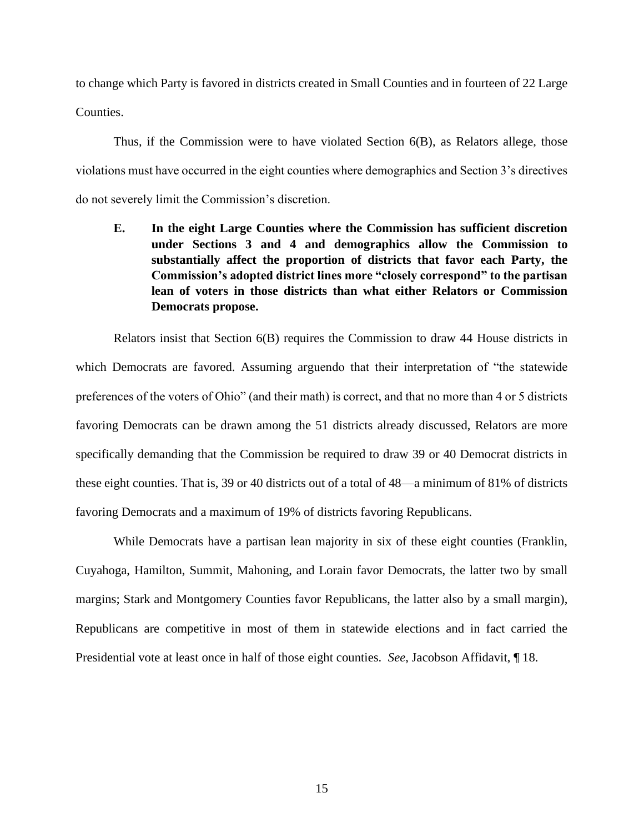to change which Party is favored in districts created in Small Counties and in fourteen of 22 Large Counties.

Thus, if the Commission were to have violated Section 6(B), as Relators allege, those violations must have occurred in the eight counties where demographics and Section 3's directives do not severely limit the Commission's discretion.

<span id="page-21-0"></span>**E. In the eight Large Counties where the Commission has sufficient discretion under Sections 3 and 4 and demographics allow the Commission to substantially affect the proportion of districts that favor each Party, the Commission's adopted district lines more "closely correspond" to the partisan lean of voters in those districts than what either Relators or Commission Democrats propose.**

Relators insist that Section 6(B) requires the Commission to draw 44 House districts in which Democrats are favored. Assuming arguendo that their interpretation of "the statewide preferences of the voters of Ohio" (and their math) is correct, and that no more than 4 or 5 districts favoring Democrats can be drawn among the 51 districts already discussed, Relators are more specifically demanding that the Commission be required to draw 39 or 40 Democrat districts in these eight counties. That is, 39 or 40 districts out of a total of 48—a minimum of 81% of districts favoring Democrats and a maximum of 19% of districts favoring Republicans.

While Democrats have a partisan lean majority in six of these eight counties (Franklin, Cuyahoga, Hamilton, Summit, Mahoning, and Lorain favor Democrats, the latter two by small margins; Stark and Montgomery Counties favor Republicans, the latter also by a small margin), Republicans are competitive in most of them in statewide elections and in fact carried the Presidential vote at least once in half of those eight counties. *See*, Jacobson Affidavit, ¶ 18.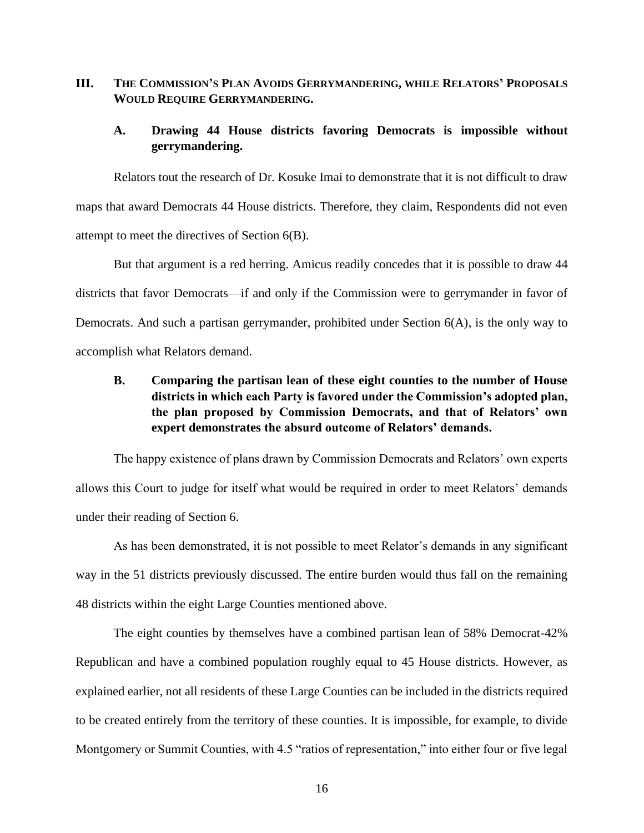#### <span id="page-22-0"></span>**III. THE COMMISSION'S PLAN AVOIDS GERRYMANDERING, WHILE RELATORS' PROPOSALS WOULD REQUIRE GERRYMANDERING.**

### <span id="page-22-1"></span>**A. Drawing 44 House districts favoring Democrats is impossible without gerrymandering.**

Relators tout the research of Dr. Kosuke Imai to demonstrate that it is not difficult to draw maps that award Democrats 44 House districts. Therefore, they claim, Respondents did not even attempt to meet the directives of Section 6(B).

But that argument is a red herring. Amicus readily concedes that it is possible to draw 44 districts that favor Democrats—if and only if the Commission were to gerrymander in favor of Democrats. And such a partisan gerrymander, prohibited under Section 6(A), is the only way to accomplish what Relators demand.

# <span id="page-22-2"></span>**B. Comparing the partisan lean of these eight counties to the number of House districts in which each Party is favored under the Commission's adopted plan, the plan proposed by Commission Democrats, and that of Relators' own expert demonstrates the absurd outcome of Relators' demands.**

The happy existence of plans drawn by Commission Democrats and Relators' own experts allows this Court to judge for itself what would be required in order to meet Relators' demands under their reading of Section 6.

As has been demonstrated, it is not possible to meet Relator's demands in any significant way in the 51 districts previously discussed. The entire burden would thus fall on the remaining 48 districts within the eight Large Counties mentioned above.

The eight counties by themselves have a combined partisan lean of 58% Democrat-42% Republican and have a combined population roughly equal to 45 House districts. However, as explained earlier, not all residents of these Large Counties can be included in the districts required to be created entirely from the territory of these counties. It is impossible, for example, to divide Montgomery or Summit Counties, with 4.5 "ratios of representation," into either four or five legal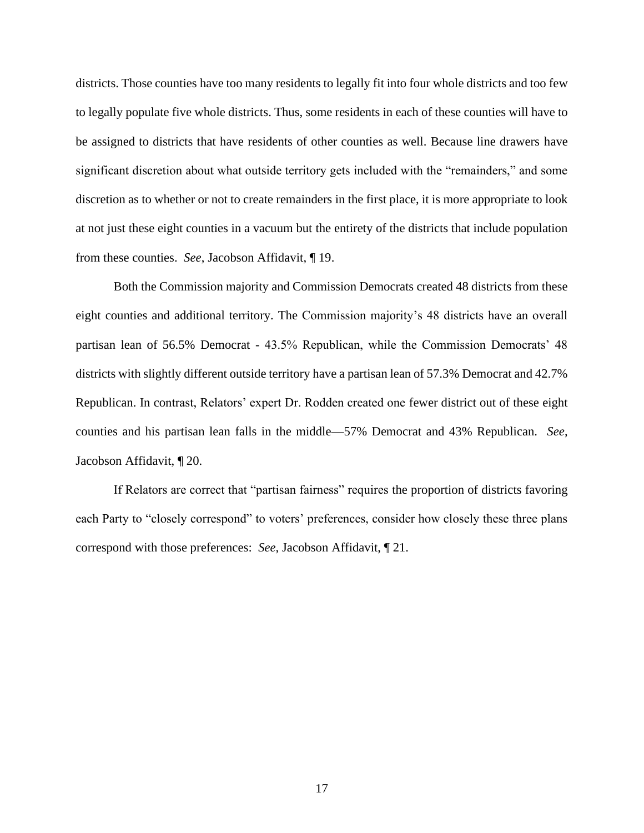districts. Those counties have too many residents to legally fit into four whole districts and too few to legally populate five whole districts. Thus, some residents in each of these counties will have to be assigned to districts that have residents of other counties as well. Because line drawers have significant discretion about what outside territory gets included with the "remainders," and some discretion as to whether or not to create remainders in the first place, it is more appropriate to look at not just these eight counties in a vacuum but the entirety of the districts that include population from these counties. *See*, Jacobson Affidavit, ¶ 19.

Both the Commission majority and Commission Democrats created 48 districts from these eight counties and additional territory. The Commission majority's 48 districts have an overall partisan lean of 56.5% Democrat - 43.5% Republican, while the Commission Democrats' 48 districts with slightly different outside territory have a partisan lean of 57.3% Democrat and 42.7% Republican. In contrast, Relators' expert Dr. Rodden created one fewer district out of these eight counties and his partisan lean falls in the middle—57% Democrat and 43% Republican. *See*, Jacobson Affidavit, ¶ 20.

If Relators are correct that "partisan fairness" requires the proportion of districts favoring each Party to "closely correspond" to voters' preferences, consider how closely these three plans correspond with those preferences: *See*, Jacobson Affidavit, ¶ 21.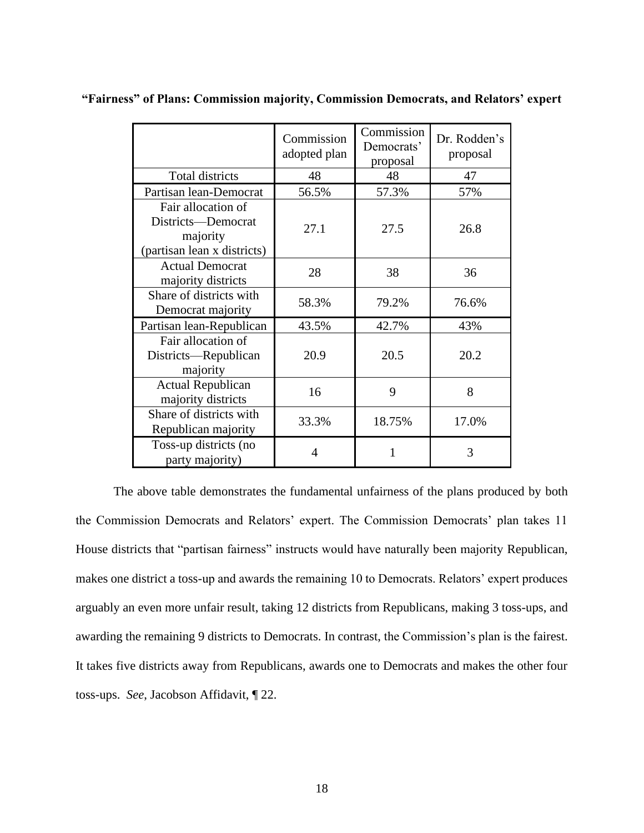|                                                                                     | Commission<br>adopted plan | Commission<br>Democrats'<br>proposal | Dr. Rodden's<br>proposal |
|-------------------------------------------------------------------------------------|----------------------------|--------------------------------------|--------------------------|
| Total districts                                                                     | 48                         | 48                                   | 47                       |
| Partisan lean-Democrat                                                              | 56.5%                      | 57.3%                                | 57%                      |
| Fair allocation of<br>Districts-Democrat<br>majority<br>(partisan lean x districts) | 27.1                       | 27.5                                 | 26.8                     |
| <b>Actual Democrat</b><br>majority districts                                        | 28                         | 38                                   | 36                       |
| Share of districts with<br>Democrat majority                                        | 58.3%                      | 79.2%                                | 76.6%                    |
| Partisan lean-Republican                                                            | 43.5%                      | 42.7%                                | 43%                      |
| Fair allocation of<br>Districts—Republican<br>majority                              | 20.9                       | 20.5                                 | 20.2                     |
| <b>Actual Republican</b><br>majority districts                                      | 16                         | 9                                    | 8                        |
| Share of districts with<br>Republican majority                                      | 33.3%                      | 18.75%                               | 17.0%                    |
| Toss-up districts (no<br>party majority)                                            | 4                          |                                      | 3                        |

**"Fairness" of Plans: Commission majority, Commission Democrats, and Relators' expert**

The above table demonstrates the fundamental unfairness of the plans produced by both the Commission Democrats and Relators' expert. The Commission Democrats' plan takes 11 House districts that "partisan fairness" instructs would have naturally been majority Republican, makes one district a toss-up and awards the remaining 10 to Democrats. Relators' expert produces arguably an even more unfair result, taking 12 districts from Republicans, making 3 toss-ups, and awarding the remaining 9 districts to Democrats. In contrast, the Commission's plan is the fairest. It takes five districts away from Republicans, awards one to Democrats and makes the other four toss-ups. *See*, Jacobson Affidavit, ¶ 22.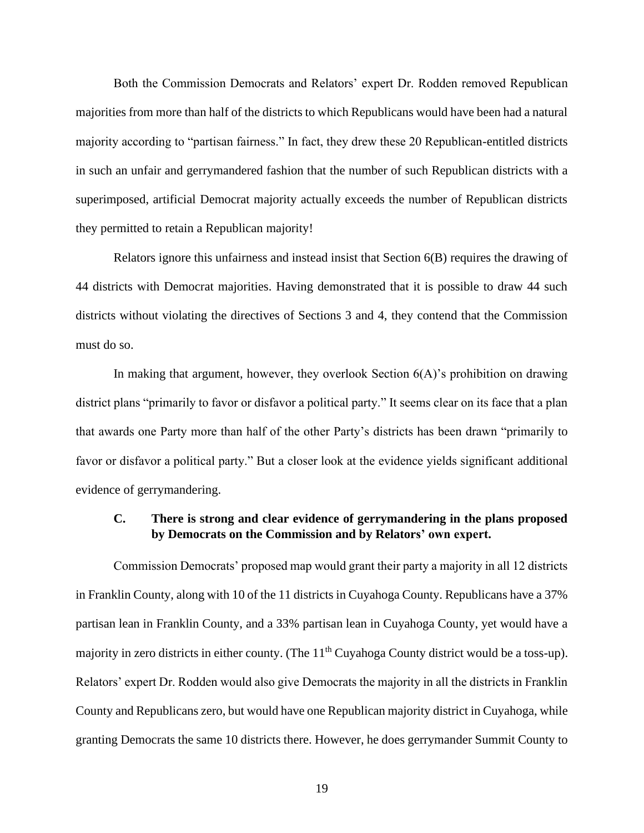<span id="page-25-0"></span>Both the Commission Democrats and Relators' expert Dr. Rodden removed Republican majorities from more than half of the districts to which Republicans would have been had a natural majority according to "partisan fairness." In fact, they drew these 20 Republican-entitled districts in such an unfair and gerrymandered fashion that the number of such Republican districts with a superimposed, artificial Democrat majority actually exceeds the number of Republican districts they permitted to retain a Republican majority!

Relators ignore this unfairness and instead insist that Section 6(B) requires the drawing of 44 districts with Democrat majorities. Having demonstrated that it is possible to draw 44 such districts without violating the directives of Sections 3 and 4, they contend that the Commission must do so.

In making that argument, however, they overlook Section 6(A)'s prohibition on drawing district plans "primarily to favor or disfavor a political party." It seems clear on its face that a plan that awards one Party more than half of the other Party's districts has been drawn "primarily to favor or disfavor a political party." But a closer look at the evidence yields significant additional evidence of gerrymandering.

#### **C. There is strong and clear evidence of gerrymandering in the plans proposed by Democrats on the Commission and by Relators' own expert.**

Commission Democrats' proposed map would grant their party a majority in all 12 districts in Franklin County, along with 10 of the 11 districts in Cuyahoga County. Republicans have a 37% partisan lean in Franklin County, and a 33% partisan lean in Cuyahoga County, yet would have a majority in zero districts in either county. (The 11<sup>th</sup> Cuyahoga County district would be a toss-up). Relators' expert Dr. Rodden would also give Democrats the majority in all the districts in Franklin County and Republicans zero, but would have one Republican majority district in Cuyahoga, while granting Democrats the same 10 districts there. However, he does gerrymander Summit County to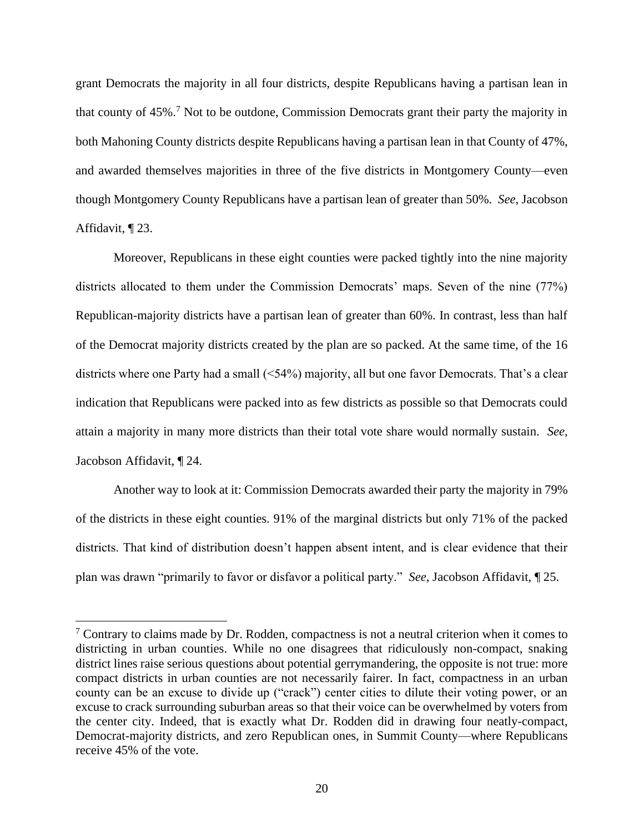grant Democrats the majority in all four districts, despite Republicans having a partisan lean in that county of 45%.<sup>7</sup> Not to be outdone, Commission Democrats grant their party the majority in both Mahoning County districts despite Republicans having a partisan lean in that County of 47%, and awarded themselves majorities in three of the five districts in Montgomery County—even though Montgomery County Republicans have a partisan lean of greater than 50%. *See*, Jacobson Affidavit, ¶ 23.

Moreover, Republicans in these eight counties were packed tightly into the nine majority districts allocated to them under the Commission Democrats' maps. Seven of the nine (77%) Republican-majority districts have a partisan lean of greater than 60%. In contrast, less than half of the Democrat majority districts created by the plan are so packed. At the same time, of the 16 districts where one Party had a small (<54%) majority, all but one favor Democrats. That's a clear indication that Republicans were packed into as few districts as possible so that Democrats could attain a majority in many more districts than their total vote share would normally sustain. *See*, Jacobson Affidavit, ¶ 24.

Another way to look at it: Commission Democrats awarded their party the majority in 79% of the districts in these eight counties. 91% of the marginal districts but only 71% of the packed districts. That kind of distribution doesn't happen absent intent, and is clear evidence that their plan was drawn "primarily to favor or disfavor a political party." *See*, Jacobson Affidavit, ¶ 25.

 $\frac{7}{7}$  Contrary to claims made by Dr. Rodden, compactness is not a neutral criterion when it comes to districting in urban counties. While no one disagrees that ridiculously non-compact, snaking district lines raise serious questions about potential gerrymandering, the opposite is not true: more compact districts in urban counties are not necessarily fairer. In fact, compactness in an urban county can be an excuse to divide up ("crack") center cities to dilute their voting power, or an excuse to crack surrounding suburban areas so that their voice can be overwhelmed by voters from the center city. Indeed, that is exactly what Dr. Rodden did in drawing four neatly-compact, Democrat-majority districts, and zero Republican ones, in Summit County—where Republicans receive 45% of the vote.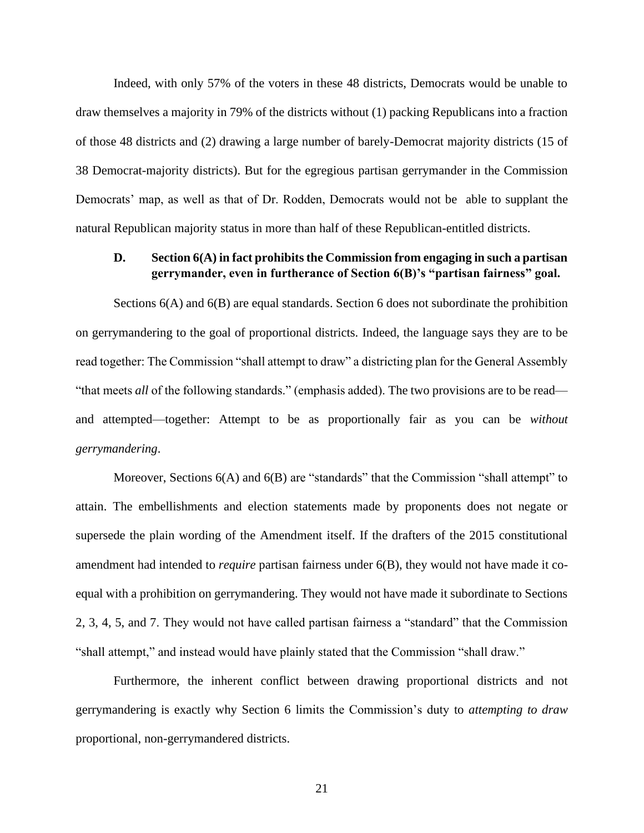Indeed, with only 57% of the voters in these 48 districts, Democrats would be unable to draw themselves a majority in 79% of the districts without (1) packing Republicans into a fraction of those 48 districts and (2) drawing a large number of barely-Democrat majority districts (15 of 38 Democrat-majority districts). But for the egregious partisan gerrymander in the Commission Democrats' map, as well as that of Dr. Rodden, Democrats would not be able to supplant the natural Republican majority status in more than half of these Republican-entitled districts.

### <span id="page-27-0"></span>**D. Section 6(A) in fact prohibits the Commission from engaging in such a partisan gerrymander, even in furtherance of Section 6(B)'s "partisan fairness" goal.**

Sections  $6(A)$  and  $6(B)$  are equal standards. Section 6 does not subordinate the prohibition on gerrymandering to the goal of proportional districts. Indeed, the language says they are to be read together: The Commission "shall attempt to draw" a districting plan for the General Assembly "that meets *all* of the following standards." (emphasis added). The two provisions are to be read and attempted—together: Attempt to be as proportionally fair as you can be *without gerrymandering*.

Moreover, Sections 6(A) and 6(B) are "standards" that the Commission "shall attempt" to attain. The embellishments and election statements made by proponents does not negate or supersede the plain wording of the Amendment itself. If the drafters of the 2015 constitutional amendment had intended to *require* partisan fairness under 6(B), they would not have made it coequal with a prohibition on gerrymandering. They would not have made it subordinate to Sections 2, 3, 4, 5, and 7. They would not have called partisan fairness a "standard" that the Commission "shall attempt," and instead would have plainly stated that the Commission "shall draw."

Furthermore, the inherent conflict between drawing proportional districts and not gerrymandering is exactly why Section 6 limits the Commission's duty to *attempting to draw* proportional, non-gerrymandered districts.

<span id="page-27-1"></span>21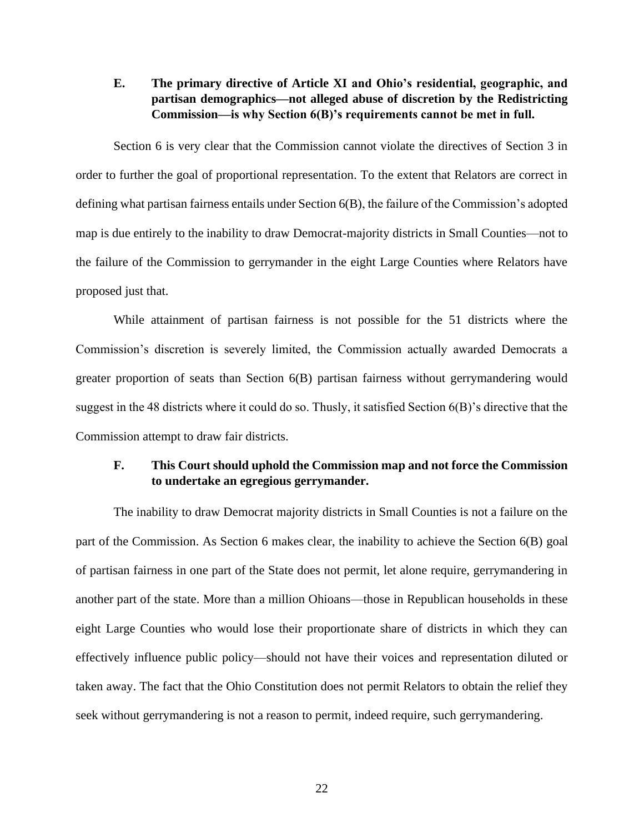**E. The primary directive of Article XI and Ohio's residential, geographic, and partisan demographics—not alleged abuse of discretion by the Redistricting Commission—is why Section 6(B)'s requirements cannot be met in full.**

Section 6 is very clear that the Commission cannot violate the directives of Section 3 in order to further the goal of proportional representation. To the extent that Relators are correct in defining what partisan fairness entails under Section 6(B), the failure of the Commission's adopted map is due entirely to the inability to draw Democrat-majority districts in Small Counties—not to the failure of the Commission to gerrymander in the eight Large Counties where Relators have proposed just that.

While attainment of partisan fairness is not possible for the 51 districts where the Commission's discretion is severely limited, the Commission actually awarded Democrats a greater proportion of seats than Section 6(B) partisan fairness without gerrymandering would suggest in the 48 districts where it could do so. Thusly, it satisfied Section 6(B)'s directive that the Commission attempt to draw fair districts.

### <span id="page-28-0"></span>**F. This Court should uphold the Commission map and not force the Commission to undertake an egregious gerrymander.**

<span id="page-28-1"></span>The inability to draw Democrat majority districts in Small Counties is not a failure on the part of the Commission. As Section 6 makes clear, the inability to achieve the Section 6(B) goal of partisan fairness in one part of the State does not permit, let alone require, gerrymandering in another part of the state. More than a million Ohioans—those in Republican households in these eight Large Counties who would lose their proportionate share of districts in which they can effectively influence public policy—should not have their voices and representation diluted or taken away. The fact that the Ohio Constitution does not permit Relators to obtain the relief they seek without gerrymandering is not a reason to permit, indeed require, such gerrymandering.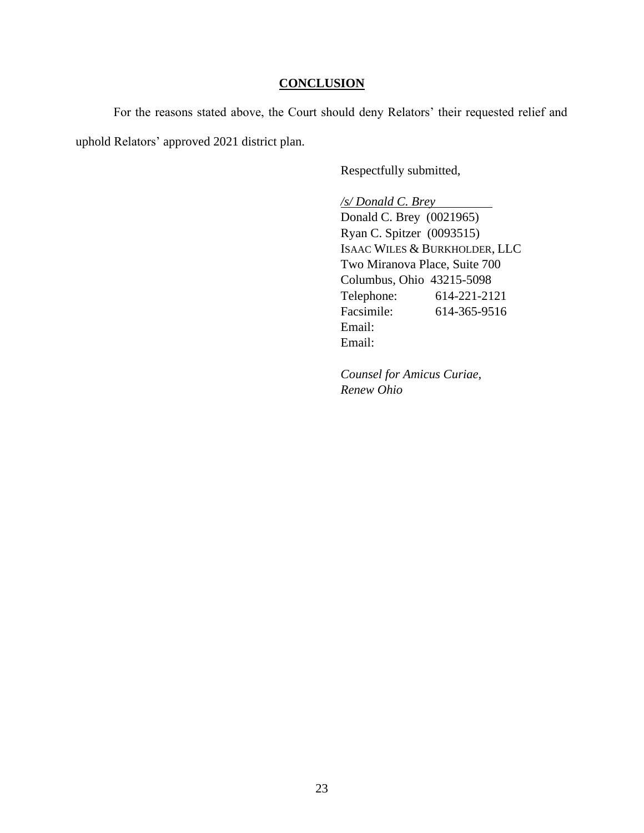#### **CONCLUSION**

For the reasons stated above, the Court should deny Relators' their requested relief and uphold Relators' approved 2021 district plan.

Respectfully submitted,

*/s/ Donald C. Brey*   $\overline{\phantom{a}}$ Donald C. Brey (0021965) Ryan C. Spitzer (0093515) ISAAC WILES & BURKHOLDER, LLC Two Miranova Place, Suite 700 Columbus, Ohio 43215-5098 Telephone: 614-221-2121 Facsimile: 614-365-9516 Email: Email:

*Counsel for Amicus Curiae, Renew Ohio*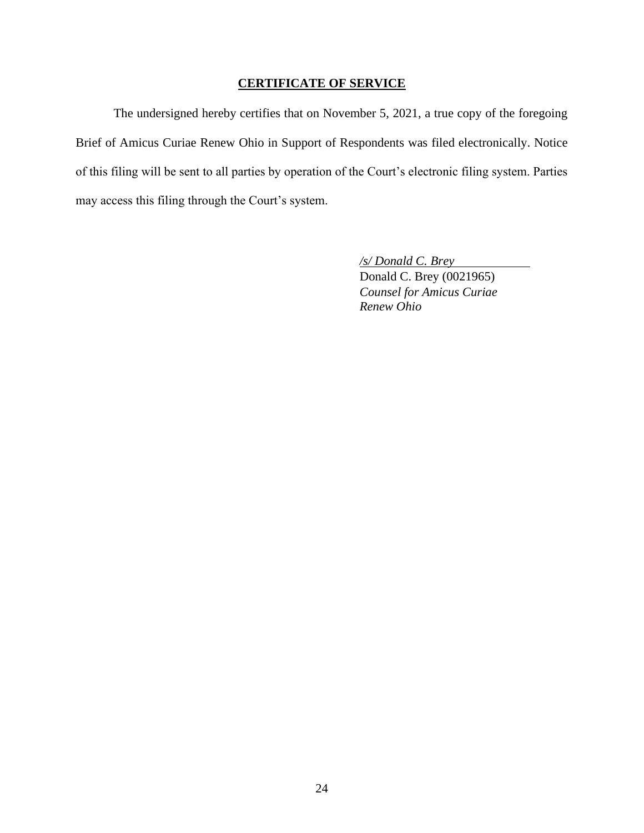### **CERTIFICATE OF SERVICE**

The undersigned hereby certifies that on November 5, 2021, a true copy of the foregoing Brief of Amicus Curiae Renew Ohio in Support of Respondents was filed electronically. Notice of this filing will be sent to all parties by operation of the Court's electronic filing system. Parties may access this filing through the Court's system.

> */s/ Donald C. Brey* Donald C. Brey (0021965) *Counsel for Amicus Curiae Renew Ohio*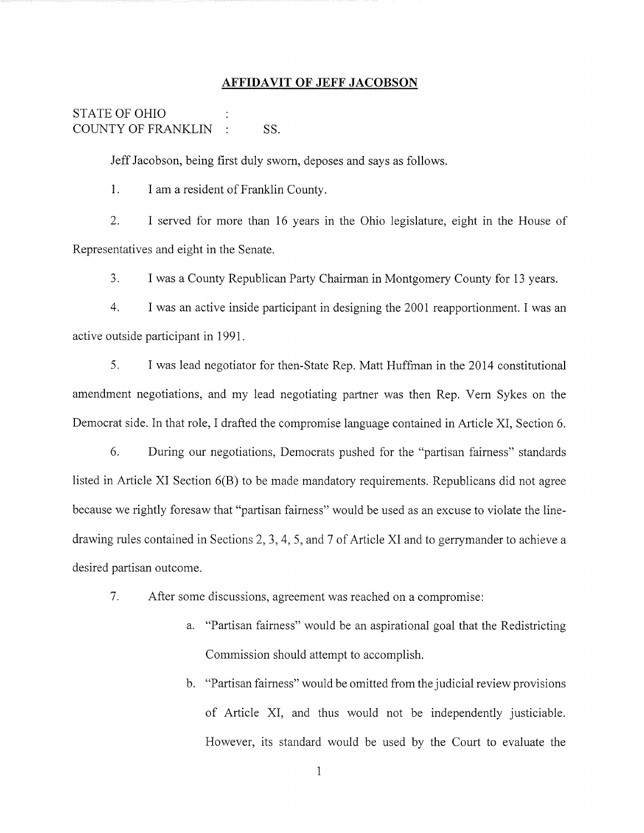#### **AFFIDAVIT OF JEFF JACOBSON**

#### **STATE OF OHIO** COUNTY OF FRANKLIN : SS.

Jeff Jacobson, being first duly sworn, deposes and says as follows.

 $1<sub>1</sub>$ I am a resident of Franklin County.

 $2^{1}$ I served for more than 16 years in the Ohio legislature, eight in the House of Representatives and eight in the Senate.

 $3<sub>1</sub>$ I was a County Republican Party Chairman in Montgomery County for 13 years.

 $\overline{4}$ . I was an active inside participant in designing the 2001 reapportionment. I was an active outside participant in 1991.

 $5<sub>1</sub>$ I was lead negotiator for then-State Rep. Matt Huffman in the 2014 constitutional amendment negotiations, and my lead negotiating partner was then Rep. Vern Sykes on the Democrat side. In that role, I drafted the compromise language contained in Article XI, Section 6.

6. During our negotiations, Democrats pushed for the "partisan fairness" standards listed in Article XI Section 6(B) to be made mandatory requirements. Republicans did not agree because we rightly foresaw that "partisan fairness" would be used as an excuse to violate the linedrawing rules contained in Sections 2, 3, 4, 5, and 7 of Article XI and to gerrymander to achieve a desired partisan outcome.

- 7. After some discussions, agreement was reached on a compromise:
	- a. "Partisan fairness" would be an aspirational goal that the Redistricting Commission should attempt to accomplish.
	- b. "Partisan fairness" would be omitted from the judicial review provisions of Article XI, and thus would not be independently justiciable. However, its standard would be used by the Court to evaluate the

 $\mathbf{1}$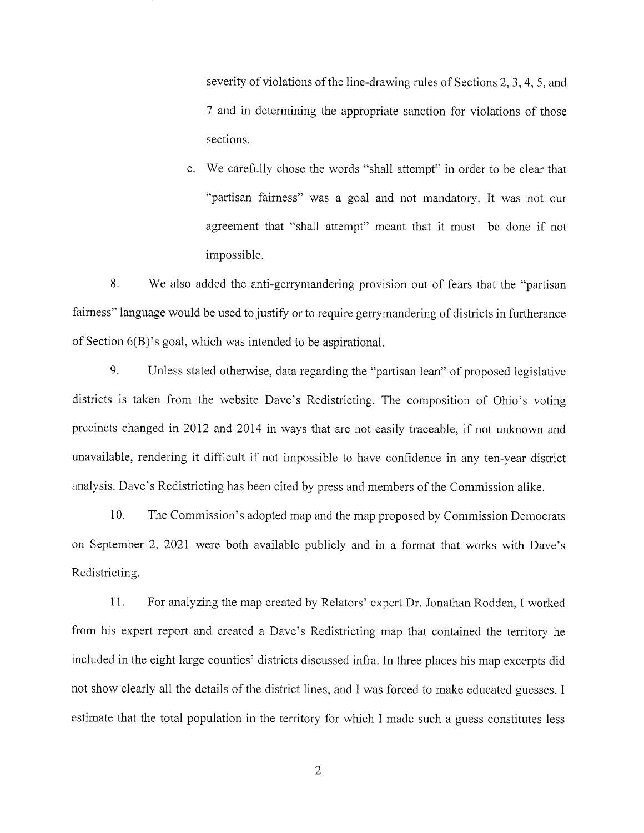severity of violations of the line-drawing rules of Sections 2, 3, 4, 5, and 7 and in determining the appropriate sanction for violations of those sections.

c. We carefully chose the words "shall attempt" in order to be clear that "partisan fairness" was a goal and not mandatory. It was not our agreement that "shall attempt" meant that it must be done if not impossible.

8. We also added the anti-gerrymandering provision out of fears that the "partisan" fairness" language would be used to justify or to require gerrymandering of districts in furtherance of Section 6(B)'s goal, which was intended to be aspirational.

9. Unless stated otherwise, data regarding the "partisan lean" of proposed legislative districts is taken from the website Dave's Redistricting. The composition of Ohio's voting precincts changed in 2012 and 2014 in ways that are not easily traceable, if not unknown and unavailable, rendering it difficult if not impossible to have confidence in any ten-year district analysis. Dave's Redistricting has been cited by press and members of the Commission alike.

10. The Commission's adopted map and the map proposed by Commission Democrats on September 2, 2021 were both available publicly and in a format that works with Dave's Redistricting.

11. For analyzing the map created by Relators' expert Dr. Jonathan Rodden, I worked from his expert report and created a Dave's Redistricting map that contained the territory he included in the eight large counties' districts discussed infra. In three places his map excerpts did not show clearly all the details of the district lines, and I was forced to make educated guesses. I estimate that the total population in the territory for which I made such a guess constitutes less

 $\overline{2}$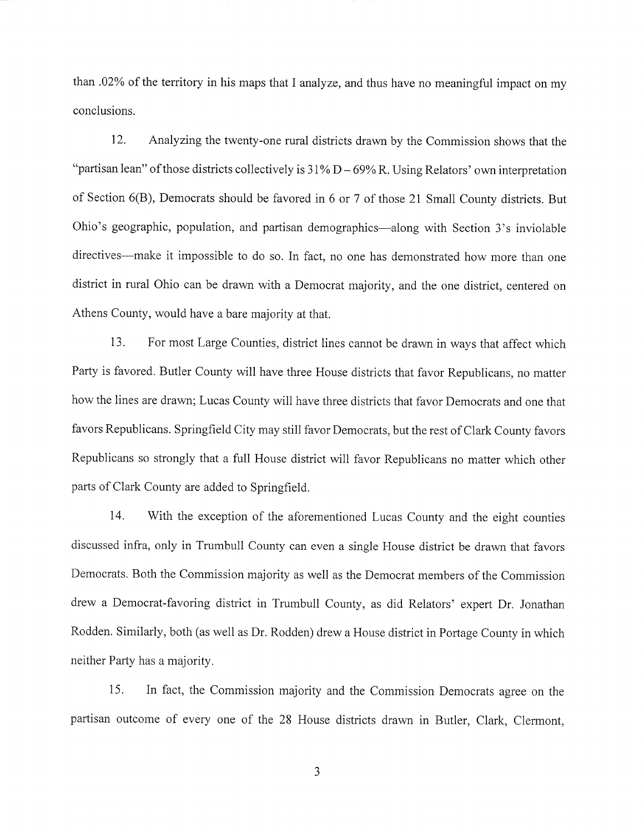than .02% of the territory in his maps that I analyze, and thus have no meaningful impact on my conclusions.

12. Analyzing the twenty-one rural districts drawn by the Commission shows that the "partisan lean" of those districts collectively is  $31\% D - 69\% R$ . Using Relators' own interpretation of Section 6(B), Democrats should be favored in 6 or 7 of those 21 Small County districts. But Ohio's geographic, population, and partisan demographics—along with Section 3's inviolable directives—make it impossible to do so. In fact, no one has demonstrated how more than one district in rural Ohio can be drawn with a Democrat majority, and the one district, centered on Athens County, would have a bare majority at that.

13. For most Large Counties, district lines cannot be drawn in ways that affect which Party is favored. Butler County will have three House districts that favor Republicans, no matter how the lines are drawn; Lucas County will have three districts that favor Democrats and one that favors Republicans. Springfield City may still favor Democrats, but the rest of Clark County favors Republicans so strongly that a full House district will favor Republicans no matter which other parts of Clark County are added to Springfield.

14. With the exception of the aforementioned Lucas County and the eight counties discussed infra, only in Trumbull County can even a single House district be drawn that favors Democrats. Both the Commission majority as well as the Democrat members of the Commission drew a Democrat-favoring district in Trumbull County, as did Relators' expert Dr. Jonathan Rodden. Similarly, both (as well as Dr. Rodden) drew a House district in Portage County in which neither Party has a majority.

15. In fact, the Commission majority and the Commission Democrats agree on the partisan outcome of every one of the 28 House districts drawn in Butler, Clark, Clermont,

 $\overline{3}$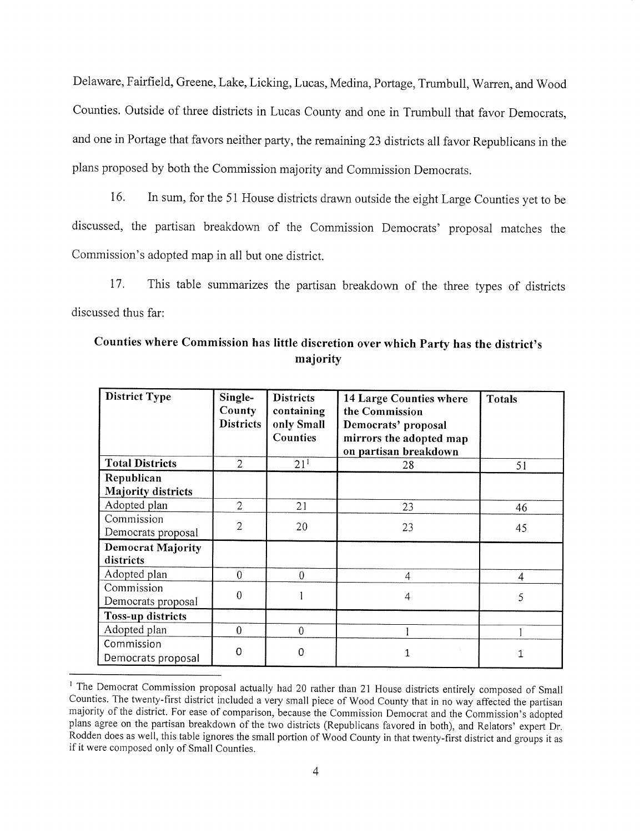Delaware, Fairfield, Greene, Lake, Licking, Lucas, Medina, Portage, Trumbull, Warren, and Wood Counties. Outside of three districts in Lucas County and one in Trumbull that favor Democrats, and one in Portage that favors neither party, the remaining 23 districts all favor Republicans in the plans proposed by both the Commission majority and Commission Democrats.

16. In sum, for the 51 House districts drawn outside the eight Large Counties yet to be discussed, the partisan breakdown of the Commission Democrats' proposal matches the Commission's adopted map in all but one district.

17. This table summarizes the partisan breakdown of the three types of districts discussed thus far:

| <b>District Type</b>                    | Single-<br>County<br><b>Districts</b> | <b>Districts</b><br>containing<br>only Small<br>Counties | <b>14 Large Counties where</b><br>the Commission<br>Democrats' proposal<br>mirrors the adopted map<br>on partisan breakdown | <b>Totals</b> |
|-----------------------------------------|---------------------------------------|----------------------------------------------------------|-----------------------------------------------------------------------------------------------------------------------------|---------------|
| <b>Total Districts</b>                  | 2                                     | 21 <sup>1</sup>                                          | 28                                                                                                                          | 51            |
| Republican<br><b>Majority districts</b> |                                       |                                                          |                                                                                                                             |               |
| Adopted plan                            | $\overline{2}$                        | 21                                                       | 23                                                                                                                          | 46            |
| Commission<br>Democrats proposal        | $\overline{2}$                        | 20                                                       | 23                                                                                                                          | 45            |
| <b>Democrat Majority</b><br>districts   |                                       |                                                          |                                                                                                                             |               |
| Adopted plan                            | $\theta$                              | $\overline{0}$                                           | $\overline{4}$                                                                                                              | 4             |
| Commission<br>Democrats proposal        | $\overline{0}$                        |                                                          | 4                                                                                                                           | 5             |
| <b>Toss-up districts</b>                |                                       |                                                          |                                                                                                                             |               |
| Adopted plan                            | $\Omega$                              | $\theta$                                                 |                                                                                                                             |               |
| Commission<br>Democrats proposal        | $\Omega$                              | $\overline{0}$                                           |                                                                                                                             | 1             |

### Counties where Commission has little discretion over which Party has the district's majority

<sup>&</sup>lt;sup>1</sup> The Democrat Commission proposal actually had 20 rather than 21 House districts entirely composed of Small Counties. The twenty-first district included a very small piece of Wood County that in no way affected the partisan majority of the district. For ease of comparison, because the Commission Democrat and the Commission's adopted plans agree on the partisan breakdown of the two districts (Republicans favored in both), and Relators' expert Dr. Rodden does as well, this table ignores the small portion of Wood County in that twenty-first district and groups it as if it were composed only of Small Counties.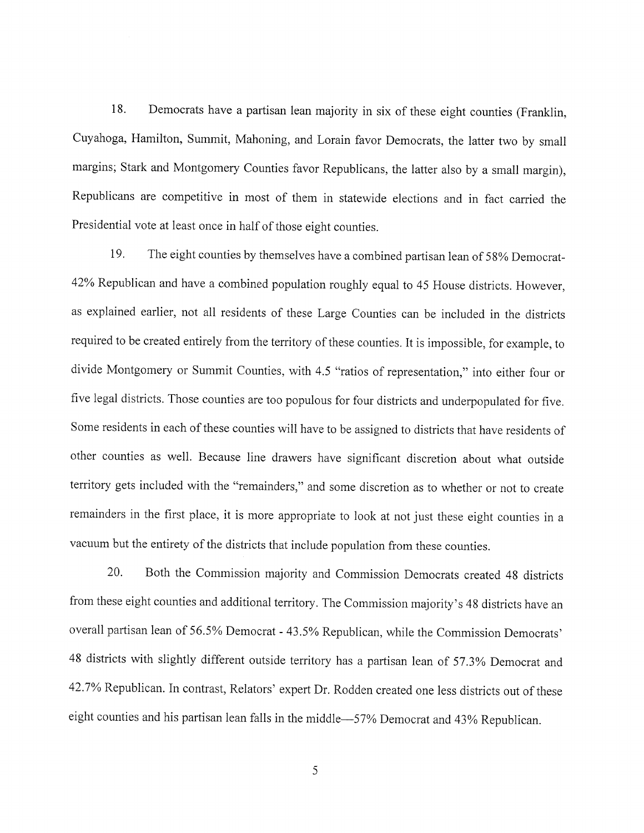18. Democrats have a partisan lean majority in six of these eight counties (Franklin, Cuyahoga, Hamilton, Summit, Mahoning, and Lorain favor Democrats, the latter two by small margins; Stark and Montgomery Counties favor Republicans, the latter also by a small margin), Republicans are competitive in most of them in statewide elections and in fact carried the Presidential vote at least once in half of those eight counties.

19. The eight counties by themselves have a combined partisan lean of 58% Democrat-42% Republican and have a combined population roughly equal to 45 House districts. However, as explained earlier, not all residents of these Large Counties can be included in the districts required to be created entirely from the territory of these counties. It is impossible, for example, to divide Montgomery or Summit Counties, with 4.5 "ratios of representation," into either four or five legal districts. Those counties are too populous for four districts and underpopulated for five. Some residents in each of these counties will have to be assigned to districts that have residents of other counties as well. Because line drawers have significant discretion about what outside territory gets included with the "remainders," and some discretion as to whether or not to create remainders in the first place, it is more appropriate to look at not just these eight counties in a vacuum but the entirety of the districts that include population from these counties.

20. Both the Commission majority and Commission Democrats created 48 districts from these eight counties and additional territory. The Commission majority's 48 districts have an overall partisan lean of 56.5% Democrat - 43.5% Republican, while the Commission Democrats' 48 districts with slightly different outside territory has a partisan lean of 57.3% Democrat and 42.7% Republican. In contrast, Relators' expert Dr. Rodden created one less districts out of these eight counties and his partisan lean falls in the middle—57% Democrat and 43% Republican.

5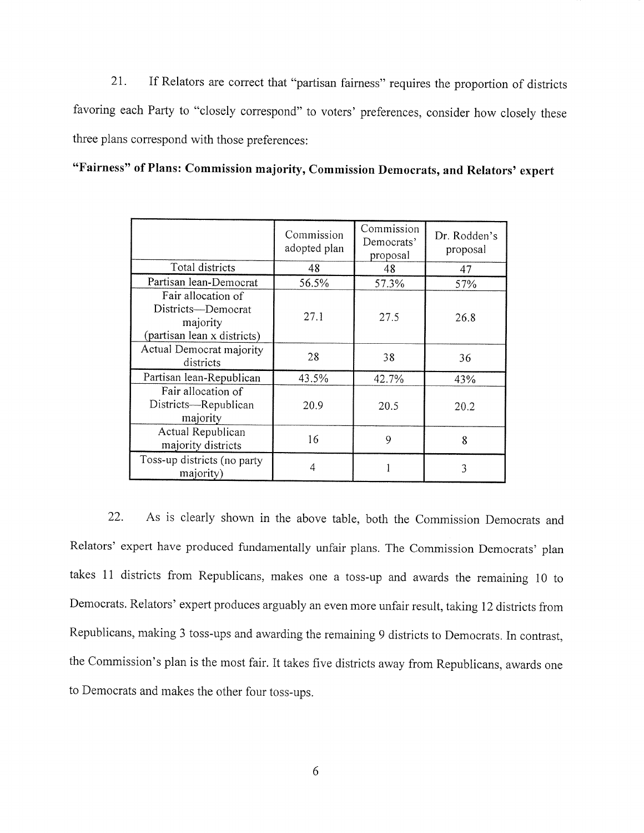If Relators are correct that "partisan fairness" requires the proportion of districts 21. favoring each Party to "closely correspond" to voters' preferences, consider how closely these three plans correspond with those preferences:

"Fairness" of Plans: Commission majority, Commission Democrats, and Relators' expert

|                                                                                     | Commission<br>adopted plan | Commission<br>Democrats'<br>proposal | Dr. Rodden's<br>proposal |
|-------------------------------------------------------------------------------------|----------------------------|--------------------------------------|--------------------------|
| Total districts                                                                     | 48                         | 48                                   | 47                       |
| Partisan lean-Democrat                                                              | 56.5%                      | 57.3%                                | 57%                      |
| Fair allocation of<br>Districts-Democrat<br>majority<br>(partisan lean x districts) | 27.1                       | 27.5                                 | 26.8                     |
| Actual Democrat majority<br>districts                                               | 28                         | 38                                   | 36                       |
| Partisan lean-Republican                                                            | 43.5%                      | 42.7%                                | 43%                      |
| Fair allocation of<br>Districts-Republican<br>majority                              | 20.9                       | 20.5                                 | 20.2                     |
| Actual Republican<br>majority districts                                             | 16                         | 9                                    | 8                        |
| Toss-up districts (no party<br>majority)                                            | 4                          |                                      | 3                        |

22. As is clearly shown in the above table, both the Commission Democrats and Relators' expert have produced fundamentally unfair plans. The Commission Democrats' plan takes 11 districts from Republicans, makes one a toss-up and awards the remaining 10 to Democrats. Relators' expert produces arguably an even more unfair result, taking 12 districts from Republicans, making 3 toss-ups and awarding the remaining 9 districts to Democrats. In contrast, the Commission's plan is the most fair. It takes five districts away from Republicans, awards one to Democrats and makes the other four toss-ups.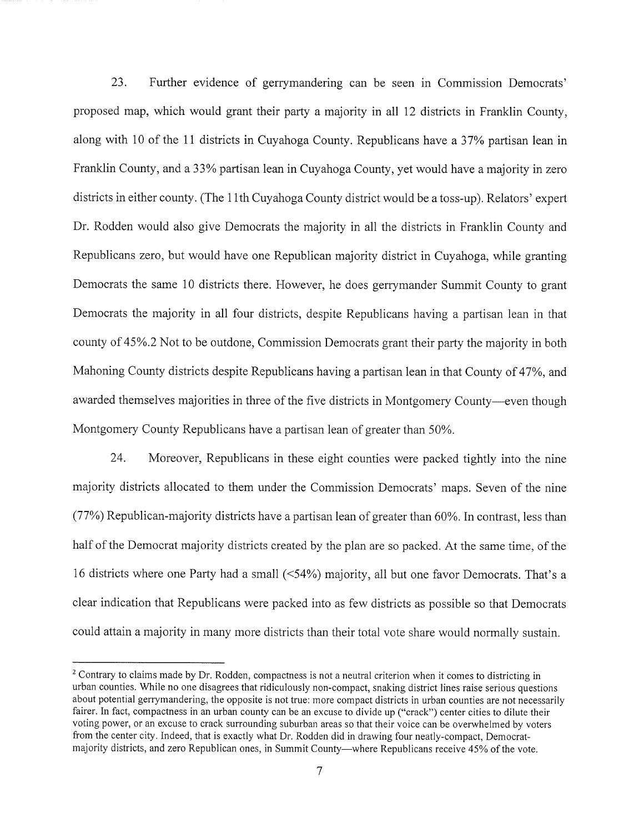23. Further evidence of gerrymandering can be seen in Commission Democrats' proposed map, which would grant their party a majority in all 12 districts in Franklin County, along with 10 of the 11 districts in Cuyahoga County. Republicans have a 37% partisan lean in Franklin County, and a 33% partisan lean in Cuyahoga County, yet would have a majority in zero districts in either county. (The 11th Cuyahoga County district would be a toss-up). Relators' expert Dr. Rodden would also give Democrats the majority in all the districts in Franklin County and Republicans zero, but would have one Republican majority district in Cuyahoga, while granting Democrats the same 10 districts there. However, he does gerrymander Summit County to grant Democrats the majority in all four districts, despite Republicans having a partisan lean in that county of 45%.2 Not to be outdone, Commission Democrats grant their party the majority in both Mahoning County districts despite Republicans having a partisan lean in that County of 47%, and awarded themselves majorities in three of the five districts in Montgomery County—even though Montgomery County Republicans have a partisan lean of greater than 50%.

24. Moreover, Republicans in these eight counties were packed tightly into the nine majority districts allocated to them under the Commission Democrats' maps. Seven of the nine (77%) Republican-majority districts have a partisan lean of greater than 60%. In contrast, less than half of the Democrat majority districts created by the plan are so packed. At the same time, of the 16 districts where one Party had a small (<54%) majority, all but one favor Democrats. That's a clear indication that Republicans were packed into as few districts as possible so that Democrats could attain a majority in many more districts than their total vote share would normally sustain.

<sup>&</sup>lt;sup>2</sup> Contrary to claims made by Dr. Rodden, compactness is not a neutral criterion when it comes to districting in urban counties. While no one disagrees that ridiculously non-compact, snaking district lines raise serious questions about potential gerrymandering, the opposite is not true: more compact districts in urban counties are not necessarily fairer. In fact, compactness in an urban county can be an excuse to divide up ("crack") center cities to dilute their voting power, or an excuse to crack surrounding suburban areas so that their voice can be overwhelmed by voters from the center city. Indeed, that is exactly what Dr. Rodden did in drawing four neatly-compact, Democratmajority districts, and zero Republican ones, in Summit County—where Republicans receive 45% of the vote.